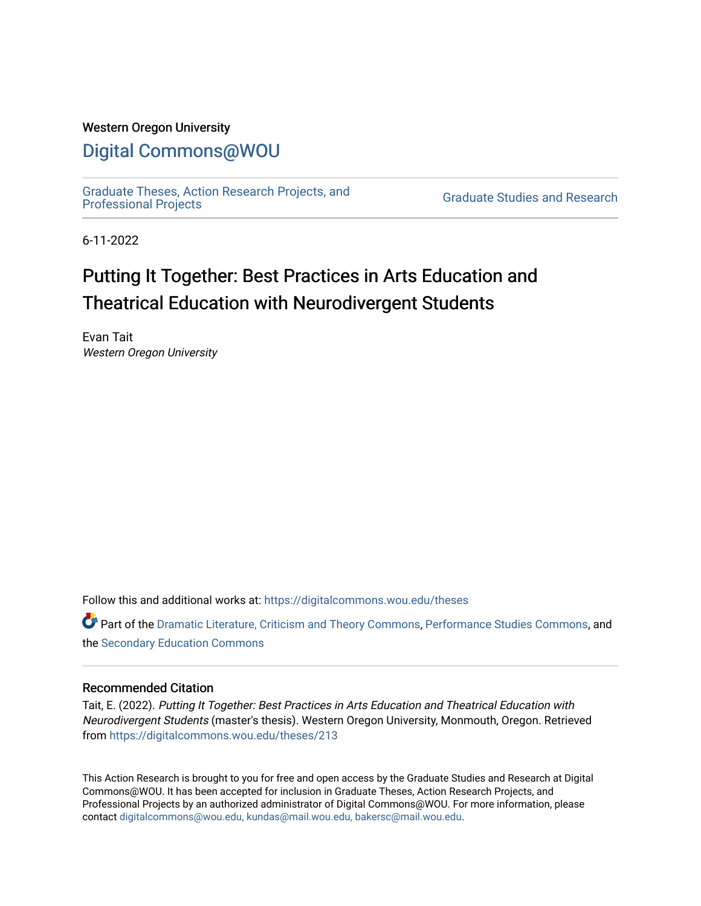## Western Oregon University

# [Digital Commons@WOU](https://digitalcommons.wou.edu/)

[Graduate Theses, Action Research Projects, and](https://digitalcommons.wou.edu/theses) 

**Graduate Studies and Research** 

6-11-2022

# Putting It Together: Best Practices in Arts Education and Theatrical Education with Neurodivergent Students

Evan Tait Western Oregon University

Follow this and additional works at: [https://digitalcommons.wou.edu/theses](https://digitalcommons.wou.edu/theses?utm_source=digitalcommons.wou.edu%2Ftheses%2F213&utm_medium=PDF&utm_campaign=PDFCoverPages) 

Part of the [Dramatic Literature, Criticism and Theory Commons](https://network.bepress.com/hgg/discipline/555?utm_source=digitalcommons.wou.edu%2Ftheses%2F213&utm_medium=PDF&utm_campaign=PDFCoverPages), [Performance Studies Commons,](https://network.bepress.com/hgg/discipline/556?utm_source=digitalcommons.wou.edu%2Ftheses%2F213&utm_medium=PDF&utm_campaign=PDFCoverPages) and the [Secondary Education Commons](https://network.bepress.com/hgg/discipline/1382?utm_source=digitalcommons.wou.edu%2Ftheses%2F213&utm_medium=PDF&utm_campaign=PDFCoverPages) 

#### Recommended Citation

Tait, E. (2022). Putting It Together: Best Practices in Arts Education and Theatrical Education with Neurodivergent Students (master's thesis). Western Oregon University, Monmouth, Oregon. Retrieved from [https://digitalcommons.wou.edu/theses/213](https://digitalcommons.wou.edu/theses/213?utm_source=digitalcommons.wou.edu%2Ftheses%2F213&utm_medium=PDF&utm_campaign=PDFCoverPages)

This Action Research is brought to you for free and open access by the Graduate Studies and Research at Digital Commons@WOU. It has been accepted for inclusion in Graduate Theses, Action Research Projects, and Professional Projects by an authorized administrator of Digital Commons@WOU. For more information, please contact [digitalcommons@wou.edu, kundas@mail.wou.edu, bakersc@mail.wou.edu](mailto:digitalcommons@wou.edu,%20kundas@mail.wou.edu,%20bakersc@mail.wou.edu).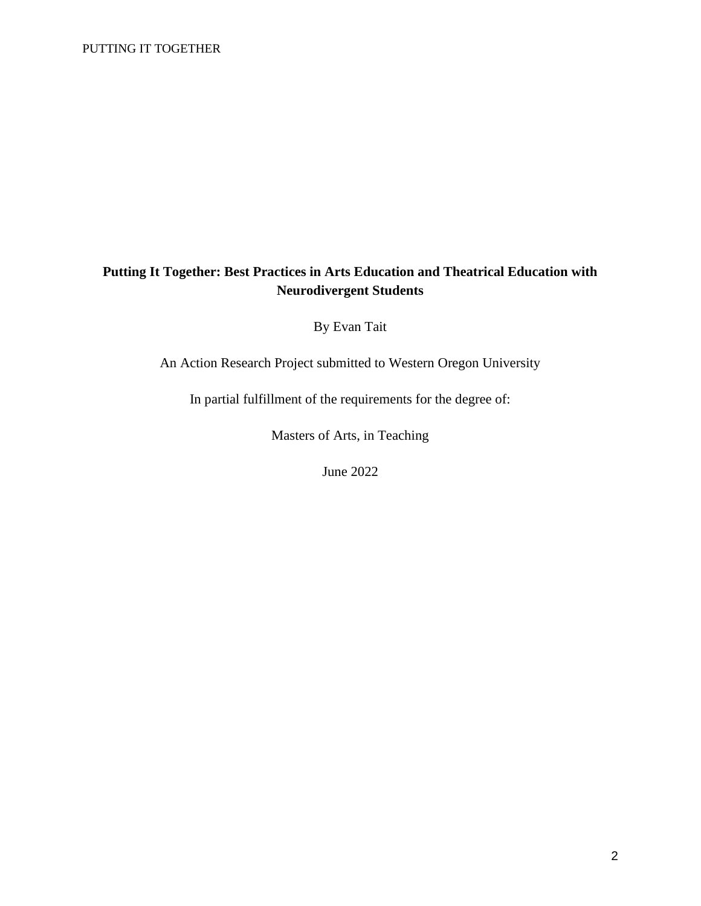## **Putting It Together: Best Practices in Arts Education and Theatrical Education with Neurodivergent Students**

By Evan Tait

An Action Research Project submitted to Western Oregon University

In partial fulfillment of the requirements for the degree of:

Masters of Arts, in Teaching

June 2022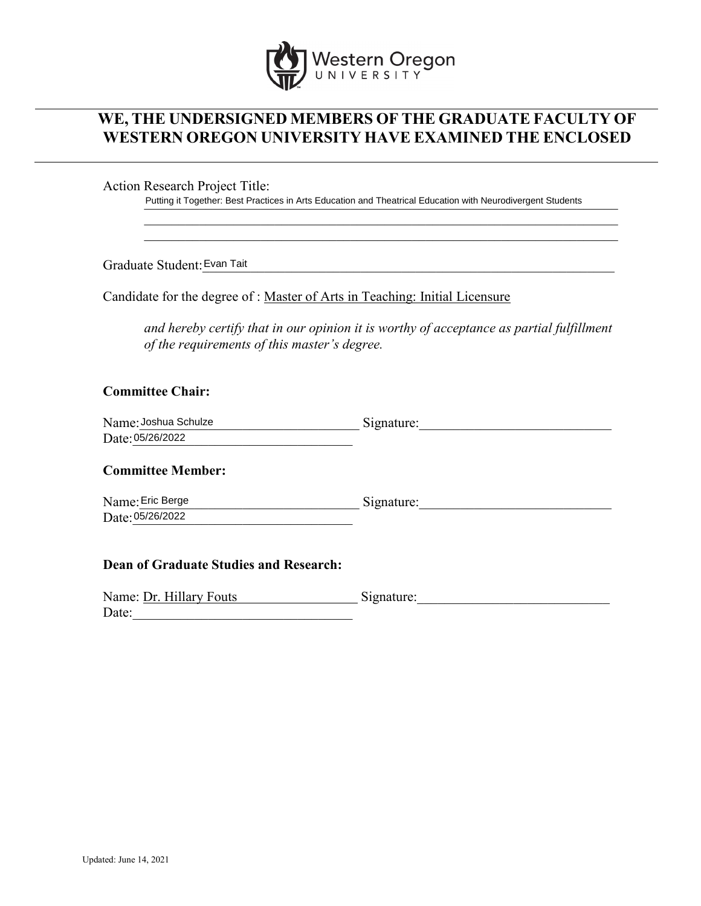

# **WE, THE UNDERSIGNED MEMBERS OF THE GRADUATE FACULTY OF WESTERN OREGON UNIVERSITY HAVE EXAMINED THE ENCLOSED**

Action Research Project Title:

Putting it Together: Best Practices in Arts Education and Theatrical Education with Neurodivergent Students

\_\_\_\_\_\_\_\_\_\_\_\_\_\_\_\_\_\_\_\_\_\_\_\_\_\_\_\_\_\_\_\_\_\_\_\_\_\_\_\_\_\_\_\_\_\_\_\_\_\_\_\_\_\_\_\_\_\_\_\_\_\_\_\_\_\_\_\_\_

Graduate Student: Evan Tait

Candidate for the degree of : Master of Arts in Teaching: Initial Licensure

*and hereby certify that in our opinion it is worthy of acceptance as partial fulfillment of the requirements of this master's degree.*

## **Committee Chair:**

| Name: Joshua Schulze | Signature: |
|----------------------|------------|
| Date: 05/26/2022     |            |

#### **Committee Member:**

Name: Eric Berge and Engineering Signature: Containing Signature: Date: 05/26/2022

## **Dean of Graduate Studies and Research:**

| Name: Dr. Hillary Fouts | Signature: |
|-------------------------|------------|
| Date:                   |            |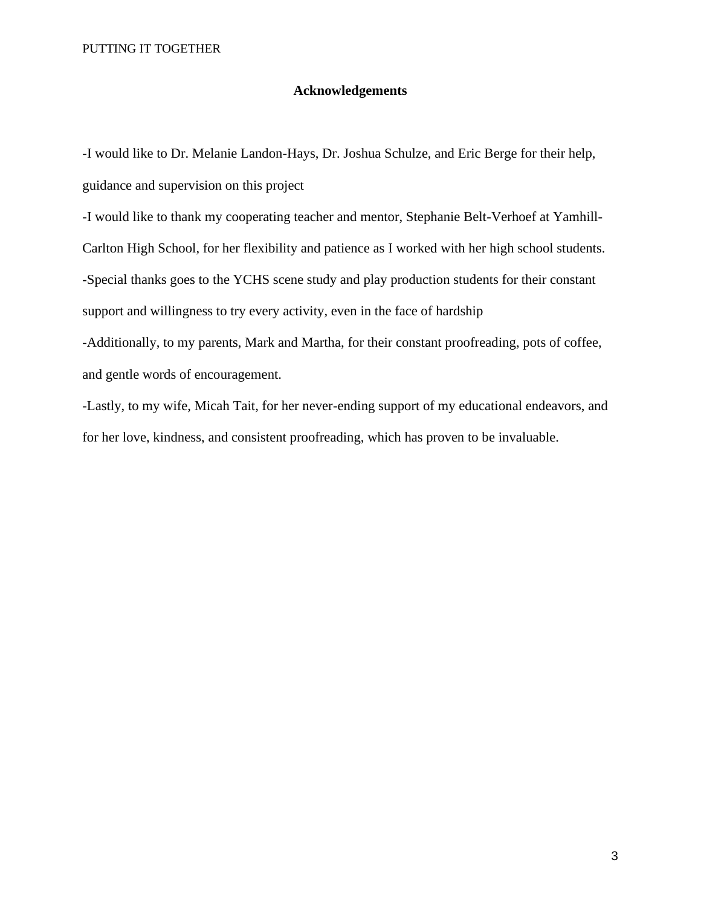## **Acknowledgements**

-I would like to Dr. Melanie Landon-Hays, Dr. Joshua Schulze, and Eric Berge for their help, guidance and supervision on this project

-I would like to thank my cooperating teacher and mentor, Stephanie Belt-Verhoef at Yamhill-Carlton High School, for her flexibility and patience as I worked with her high school students. -Special thanks goes to the YCHS scene study and play production students for their constant support and willingness to try every activity, even in the face of hardship

-Additionally, to my parents, Mark and Martha, for their constant proofreading, pots of coffee, and gentle words of encouragement.

-Lastly, to my wife, Micah Tait, for her never-ending support of my educational endeavors, and for her love, kindness, and consistent proofreading, which has proven to be invaluable.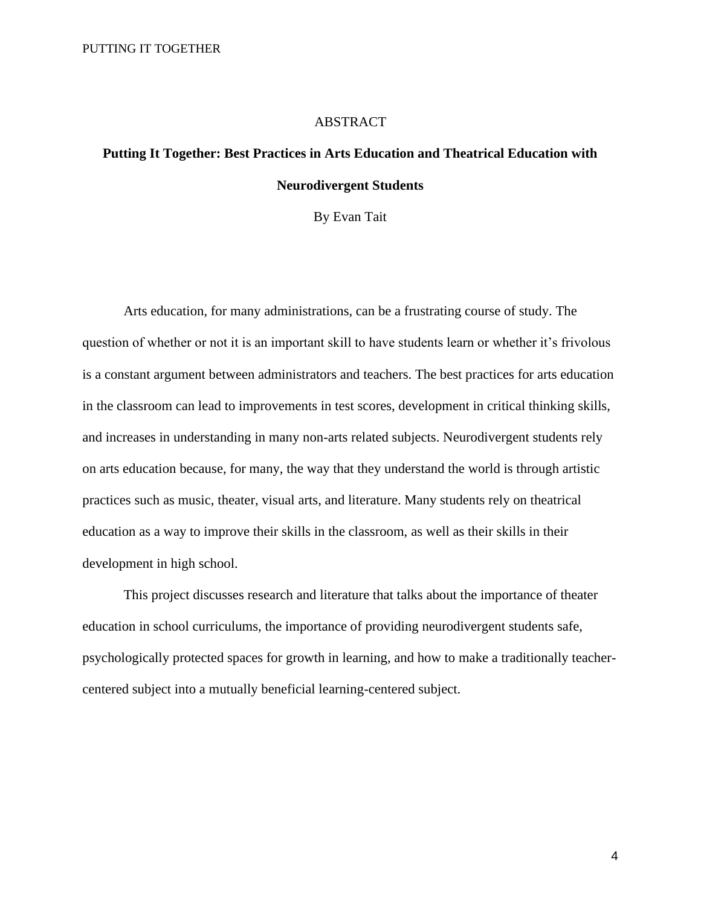## ABSTRACT

# **Putting It Together: Best Practices in Arts Education and Theatrical Education with Neurodivergent Students**

By Evan Tait

Arts education, for many administrations, can be a frustrating course of study. The question of whether or not it is an important skill to have students learn or whether it's frivolous is a constant argument between administrators and teachers. The best practices for arts education in the classroom can lead to improvements in test scores, development in critical thinking skills, and increases in understanding in many non-arts related subjects. Neurodivergent students rely on arts education because, for many, the way that they understand the world is through artistic practices such as music, theater, visual arts, and literature. Many students rely on theatrical education as a way to improve their skills in the classroom, as well as their skills in their development in high school.

This project discusses research and literature that talks about the importance of theater education in school curriculums, the importance of providing neurodivergent students safe, psychologically protected spaces for growth in learning, and how to make a traditionally teachercentered subject into a mutually beneficial learning-centered subject.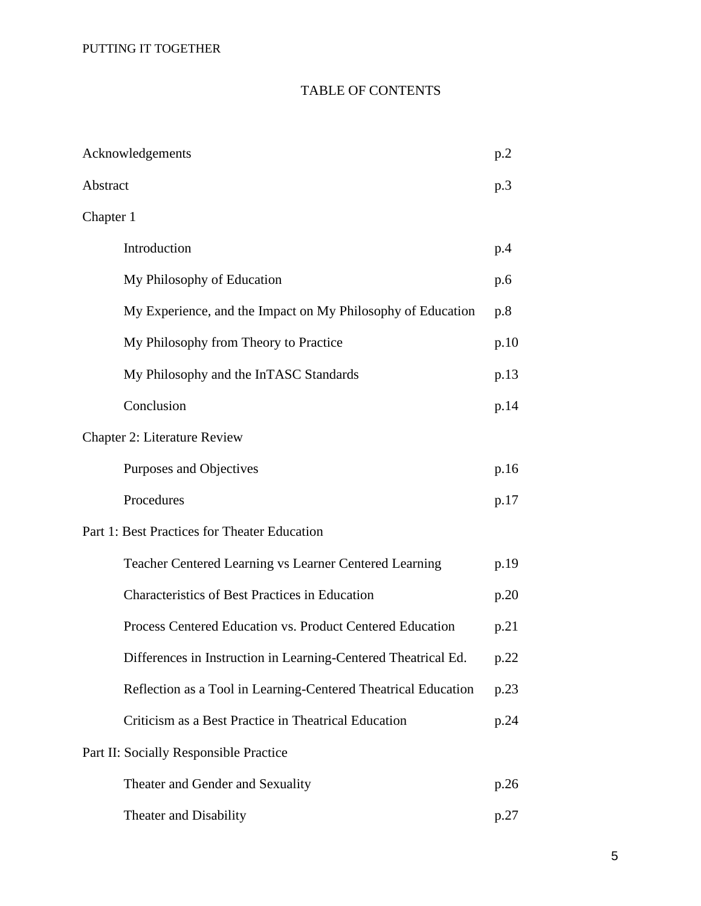# TABLE OF CONTENTS

|                                              | Acknowledgements                                               | p.2  |
|----------------------------------------------|----------------------------------------------------------------|------|
| Abstract                                     |                                                                | p.3  |
| Chapter 1                                    |                                                                |      |
|                                              | Introduction                                                   | p.4  |
|                                              | My Philosophy of Education                                     | p.6  |
|                                              | My Experience, and the Impact on My Philosophy of Education    | p.8  |
|                                              | My Philosophy from Theory to Practice                          | p.10 |
|                                              | My Philosophy and the InTASC Standards                         | p.13 |
|                                              | Conclusion                                                     | p.14 |
|                                              | <b>Chapter 2: Literature Review</b>                            |      |
|                                              | Purposes and Objectives                                        | p.16 |
|                                              | Procedures                                                     | p.17 |
| Part 1: Best Practices for Theater Education |                                                                |      |
|                                              | Teacher Centered Learning vs Learner Centered Learning         | p.19 |
|                                              | Characteristics of Best Practices in Education                 | p.20 |
|                                              | Process Centered Education vs. Product Centered Education      | p.21 |
|                                              | Differences in Instruction in Learning-Centered Theatrical Ed. | p.22 |
|                                              | Reflection as a Tool in Learning-Centered Theatrical Education | p.23 |
|                                              | Criticism as a Best Practice in Theatrical Education           | p.24 |
| Part II: Socially Responsible Practice       |                                                                |      |
|                                              | Theater and Gender and Sexuality                               | p.26 |
|                                              | Theater and Disability                                         | p.27 |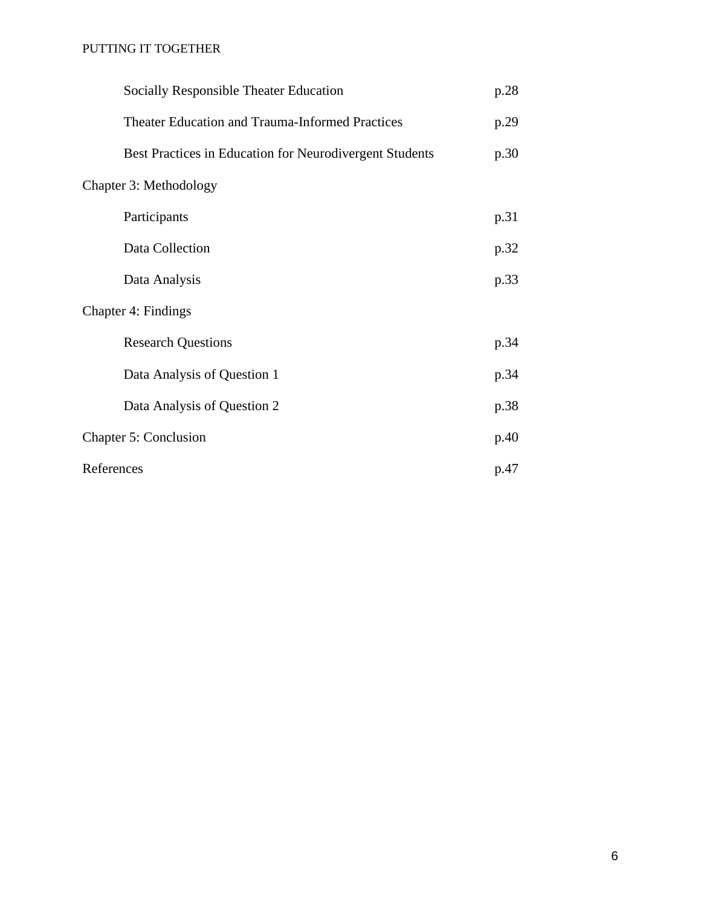| Socially Responsible Theater Education                  | p.28 |  |  |
|---------------------------------------------------------|------|--|--|
| <b>Theater Education and Trauma-Informed Practices</b>  | p.29 |  |  |
| Best Practices in Education for Neurodivergent Students | p.30 |  |  |
| Chapter 3: Methodology                                  |      |  |  |
| Participants                                            | p.31 |  |  |
| Data Collection                                         | p.32 |  |  |
| Data Analysis                                           | p.33 |  |  |
| Chapter 4: Findings                                     |      |  |  |
| <b>Research Questions</b>                               | p.34 |  |  |
| Data Analysis of Question 1                             | p.34 |  |  |
| Data Analysis of Question 2                             | p.38 |  |  |
| <b>Chapter 5: Conclusion</b>                            |      |  |  |
| References                                              | p.47 |  |  |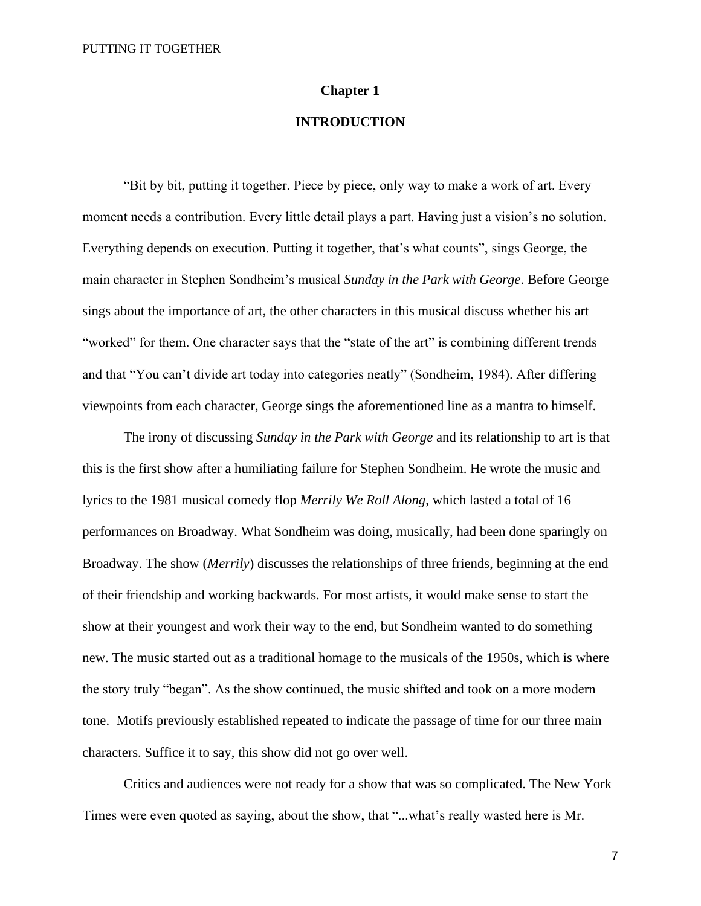#### **Chapter 1**

## **INTRODUCTION**

"Bit by bit, putting it together. Piece by piece, only way to make a work of art. Every moment needs a contribution. Every little detail plays a part. Having just a vision's no solution. Everything depends on execution. Putting it together, that's what counts", sings George, the main character in Stephen Sondheim's musical *Sunday in the Park with George*. Before George sings about the importance of art, the other characters in this musical discuss whether his art "worked" for them. One character says that the "state of the art" is combining different trends and that "You can't divide art today into categories neatly" (Sondheim, 1984). After differing viewpoints from each character, George sings the aforementioned line as a mantra to himself.

 The irony of discussing *Sunday in the Park with George* and its relationship to art is that this is the first show after a humiliating failure for Stephen Sondheim. He wrote the music and lyrics to the 1981 musical comedy flop *Merrily We Roll Along*, which lasted a total of 16 performances on Broadway. What Sondheim was doing, musically, had been done sparingly on Broadway. The show (*Merrily*) discusses the relationships of three friends, beginning at the end of their friendship and working backwards. For most artists, it would make sense to start the show at their youngest and work their way to the end, but Sondheim wanted to do something new. The music started out as a traditional homage to the musicals of the 1950s, which is where the story truly "began". As the show continued, the music shifted and took on a more modern tone. Motifs previously established repeated to indicate the passage of time for our three main characters. Suffice it to say, this show did not go over well.

Critics and audiences were not ready for a show that was so complicated. The New York Times were even quoted as saying, about the show, that "...what's really wasted here is Mr.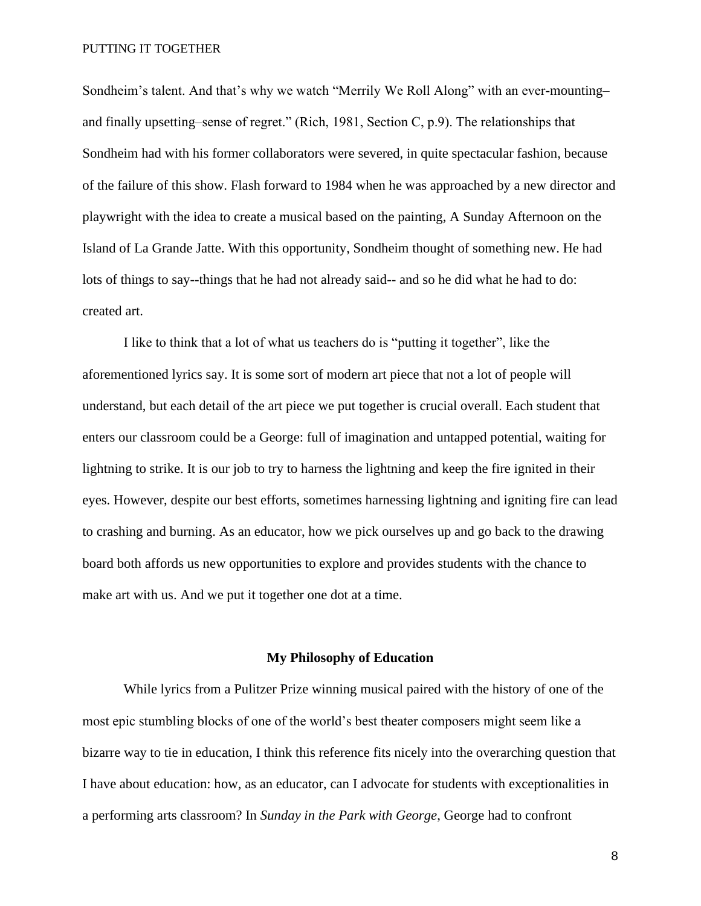Sondheim's talent. And that's why we watch "Merrily We Roll Along" with an ever-mounting– and finally upsetting–sense of regret." (Rich, 1981, Section C, p.9). The relationships that Sondheim had with his former collaborators were severed, in quite spectacular fashion, because of the failure of this show. Flash forward to 1984 when he was approached by a new director and playwright with the idea to create a musical based on the painting, A Sunday Afternoon on the Island of La Grande Jatte. With this opportunity, Sondheim thought of something new. He had lots of things to say--things that he had not already said-- and so he did what he had to do: created art.

 I like to think that a lot of what us teachers do is "putting it together", like the aforementioned lyrics say. It is some sort of modern art piece that not a lot of people will understand, but each detail of the art piece we put together is crucial overall. Each student that enters our classroom could be a George: full of imagination and untapped potential, waiting for lightning to strike. It is our job to try to harness the lightning and keep the fire ignited in their eyes. However, despite our best efforts, sometimes harnessing lightning and igniting fire can lead to crashing and burning. As an educator, how we pick ourselves up and go back to the drawing board both affords us new opportunities to explore and provides students with the chance to make art with us. And we put it together one dot at a time.

#### **My Philosophy of Education**

 While lyrics from a Pulitzer Prize winning musical paired with the history of one of the most epic stumbling blocks of one of the world's best theater composers might seem like a bizarre way to tie in education, I think this reference fits nicely into the overarching question that I have about education: how, as an educator, can I advocate for students with exceptionalities in a performing arts classroom? In *Sunday in the Park with George*, George had to confront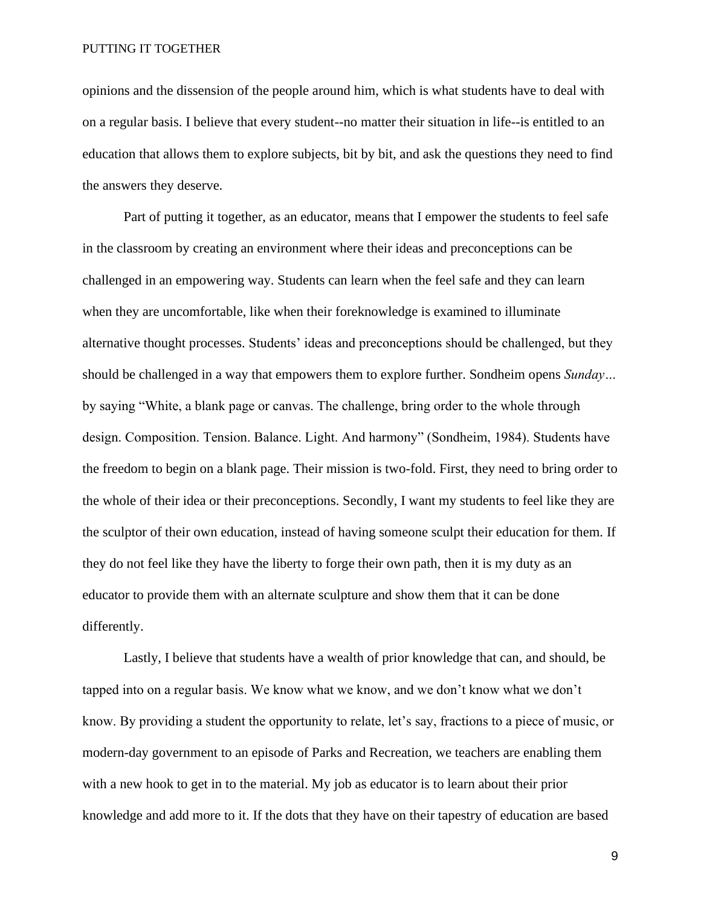opinions and the dissension of the people around him, which is what students have to deal with on a regular basis. I believe that every student--no matter their situation in life--is entitled to an education that allows them to explore subjects, bit by bit, and ask the questions they need to find the answers they deserve.

 Part of putting it together, as an educator, means that I empower the students to feel safe in the classroom by creating an environment where their ideas and preconceptions can be challenged in an empowering way. Students can learn when the feel safe and they can learn when they are uncomfortable, like when their foreknowledge is examined to illuminate alternative thought processes. Students' ideas and preconceptions should be challenged, but they should be challenged in a way that empowers them to explore further. Sondheim opens *Sunday…*  by saying "White, a blank page or canvas. The challenge, bring order to the whole through design. Composition. Tension. Balance. Light. And harmony" (Sondheim, 1984). Students have the freedom to begin on a blank page. Their mission is two-fold. First, they need to bring order to the whole of their idea or their preconceptions. Secondly, I want my students to feel like they are the sculptor of their own education, instead of having someone sculpt their education for them. If they do not feel like they have the liberty to forge their own path, then it is my duty as an educator to provide them with an alternate sculpture and show them that it can be done differently.

 Lastly, I believe that students have a wealth of prior knowledge that can, and should, be tapped into on a regular basis. We know what we know, and we don't know what we don't know. By providing a student the opportunity to relate, let's say, fractions to a piece of music, or modern-day government to an episode of Parks and Recreation, we teachers are enabling them with a new hook to get in to the material. My job as educator is to learn about their prior knowledge and add more to it. If the dots that they have on their tapestry of education are based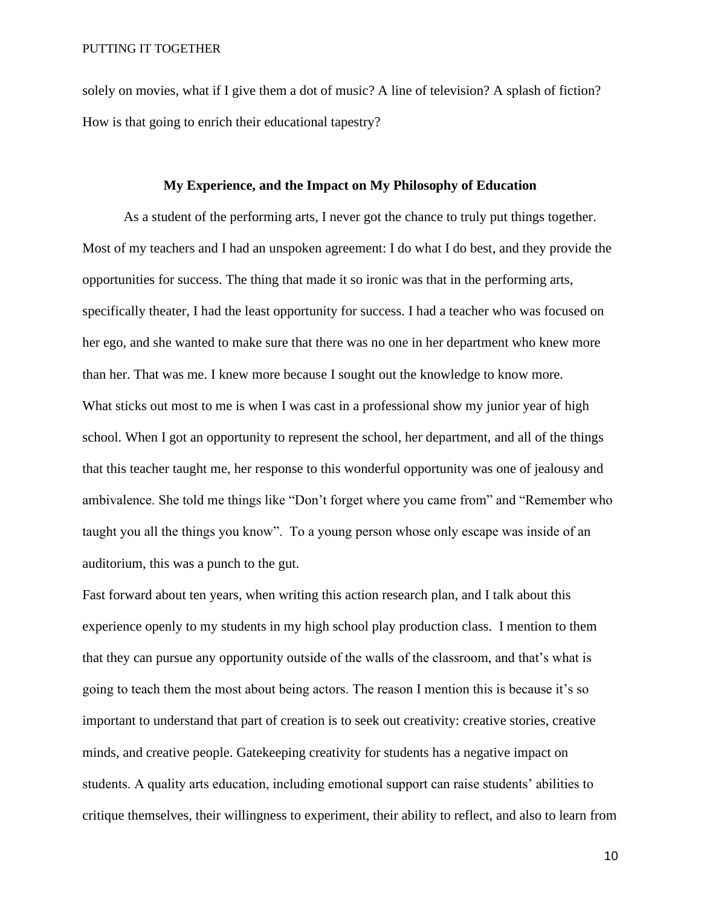solely on movies, what if I give them a dot of music? A line of television? A splash of fiction? How is that going to enrich their educational tapestry?

#### **My Experience, and the Impact on My Philosophy of Education**

As a student of the performing arts, I never got the chance to truly put things together. Most of my teachers and I had an unspoken agreement: I do what I do best, and they provide the opportunities for success. The thing that made it so ironic was that in the performing arts, specifically theater, I had the least opportunity for success. I had a teacher who was focused on her ego, and she wanted to make sure that there was no one in her department who knew more than her. That was me. I knew more because I sought out the knowledge to know more. What sticks out most to me is when I was cast in a professional show my junior year of high school. When I got an opportunity to represent the school, her department, and all of the things that this teacher taught me, her response to this wonderful opportunity was one of jealousy and ambivalence. She told me things like "Don't forget where you came from" and "Remember who taught you all the things you know". To a young person whose only escape was inside of an auditorium, this was a punch to the gut.

Fast forward about ten years, when writing this action research plan, and I talk about this experience openly to my students in my high school play production class. I mention to them that they can pursue any opportunity outside of the walls of the classroom, and that's what is going to teach them the most about being actors. The reason I mention this is because it's so important to understand that part of creation is to seek out creativity: creative stories, creative minds, and creative people. Gatekeeping creativity for students has a negative impact on students. A quality arts education, including emotional support can raise students' abilities to critique themselves, their willingness to experiment, their ability to reflect, and also to learn from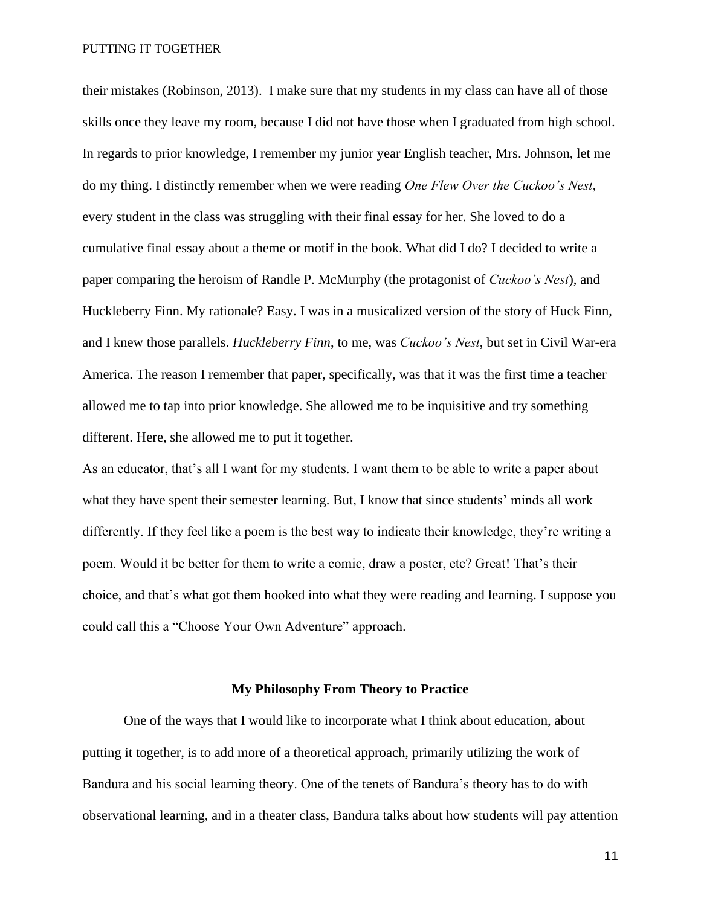their mistakes (Robinson, 2013). I make sure that my students in my class can have all of those skills once they leave my room, because I did not have those when I graduated from high school. In regards to prior knowledge, I remember my junior year English teacher, Mrs. Johnson, let me do my thing. I distinctly remember when we were reading *One Flew Over the Cuckoo's Nest*, every student in the class was struggling with their final essay for her. She loved to do a cumulative final essay about a theme or motif in the book. What did I do? I decided to write a paper comparing the heroism of Randle P. McMurphy (the protagonist of *Cuckoo's Nest*), and Huckleberry Finn. My rationale? Easy. I was in a musicalized version of the story of Huck Finn, and I knew those parallels. *Huckleberry Finn*, to me, was *Cuckoo's Nest*, but set in Civil War-era America. The reason I remember that paper, specifically, was that it was the first time a teacher allowed me to tap into prior knowledge. She allowed me to be inquisitive and try something different. Here, she allowed me to put it together.

As an educator, that's all I want for my students. I want them to be able to write a paper about what they have spent their semester learning. But, I know that since students' minds all work differently. If they feel like a poem is the best way to indicate their knowledge, they're writing a poem. Would it be better for them to write a comic, draw a poster, etc? Great! That's their choice, and that's what got them hooked into what they were reading and learning. I suppose you could call this a "Choose Your Own Adventure" approach.

## **My Philosophy From Theory to Practice**

 One of the ways that I would like to incorporate what I think about education, about putting it together, is to add more of a theoretical approach, primarily utilizing the work of Bandura and his social learning theory. One of the tenets of Bandura's theory has to do with observational learning, and in a theater class, Bandura talks about how students will pay attention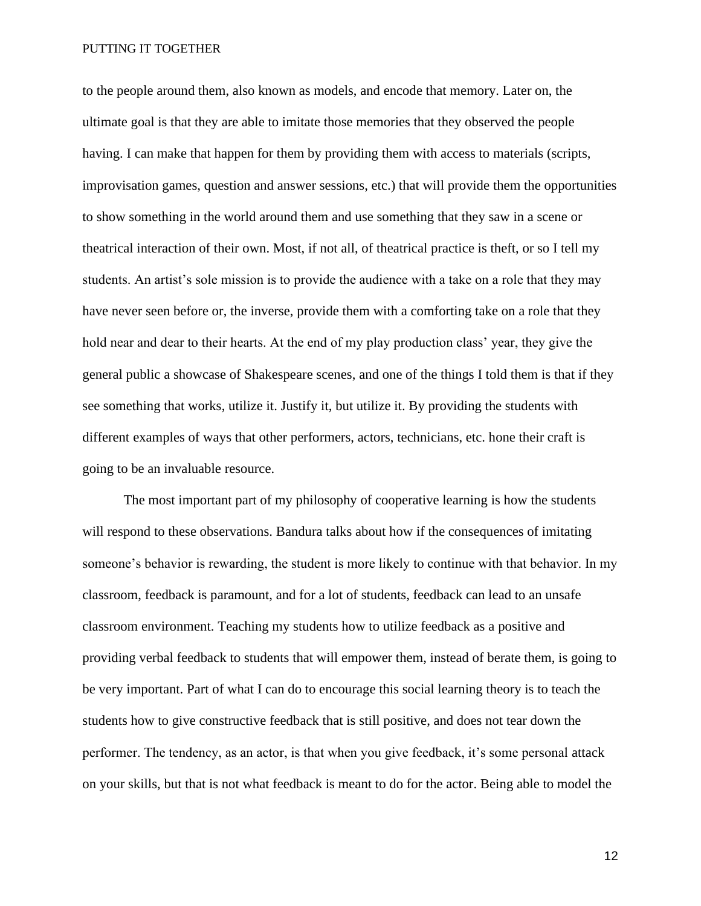to the people around them, also known as models, and encode that memory. Later on, the ultimate goal is that they are able to imitate those memories that they observed the people having. I can make that happen for them by providing them with access to materials (scripts, improvisation games, question and answer sessions, etc.) that will provide them the opportunities to show something in the world around them and use something that they saw in a scene or theatrical interaction of their own. Most, if not all, of theatrical practice is theft, or so I tell my students. An artist's sole mission is to provide the audience with a take on a role that they may have never seen before or, the inverse, provide them with a comforting take on a role that they hold near and dear to their hearts. At the end of my play production class' year, they give the general public a showcase of Shakespeare scenes, and one of the things I told them is that if they see something that works, utilize it. Justify it, but utilize it. By providing the students with different examples of ways that other performers, actors, technicians, etc. hone their craft is going to be an invaluable resource.

 The most important part of my philosophy of cooperative learning is how the students will respond to these observations. Bandura talks about how if the consequences of imitating someone's behavior is rewarding, the student is more likely to continue with that behavior. In my classroom, feedback is paramount, and for a lot of students, feedback can lead to an unsafe classroom environment. Teaching my students how to utilize feedback as a positive and providing verbal feedback to students that will empower them, instead of berate them, is going to be very important. Part of what I can do to encourage this social learning theory is to teach the students how to give constructive feedback that is still positive, and does not tear down the performer. The tendency, as an actor, is that when you give feedback, it's some personal attack on your skills, but that is not what feedback is meant to do for the actor. Being able to model the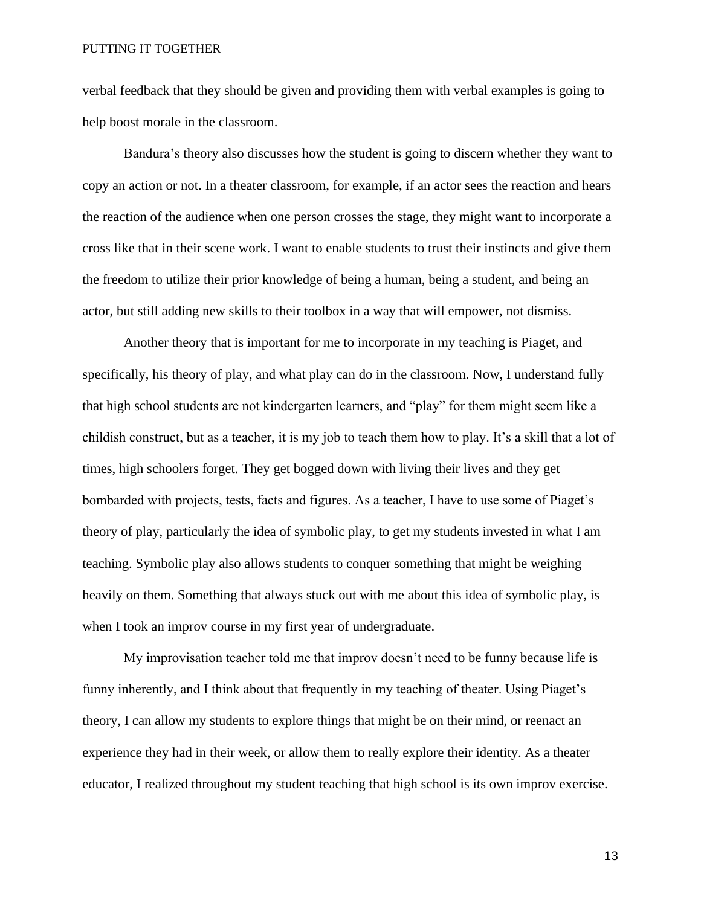verbal feedback that they should be given and providing them with verbal examples is going to help boost morale in the classroom.

 Bandura's theory also discusses how the student is going to discern whether they want to copy an action or not. In a theater classroom, for example, if an actor sees the reaction and hears the reaction of the audience when one person crosses the stage, they might want to incorporate a cross like that in their scene work. I want to enable students to trust their instincts and give them the freedom to utilize their prior knowledge of being a human, being a student, and being an actor, but still adding new skills to their toolbox in a way that will empower, not dismiss.

Another theory that is important for me to incorporate in my teaching is Piaget, and specifically, his theory of play, and what play can do in the classroom. Now, I understand fully that high school students are not kindergarten learners, and "play" for them might seem like a childish construct, but as a teacher, it is my job to teach them how to play. It's a skill that a lot of times, high schoolers forget. They get bogged down with living their lives and they get bombarded with projects, tests, facts and figures. As a teacher, I have to use some of Piaget's theory of play, particularly the idea of symbolic play, to get my students invested in what I am teaching. Symbolic play also allows students to conquer something that might be weighing heavily on them. Something that always stuck out with me about this idea of symbolic play, is when I took an improv course in my first year of undergraduate.

My improvisation teacher told me that improv doesn't need to be funny because life is funny inherently, and I think about that frequently in my teaching of theater. Using Piaget's theory, I can allow my students to explore things that might be on their mind, or reenact an experience they had in their week, or allow them to really explore their identity. As a theater educator, I realized throughout my student teaching that high school is its own improv exercise.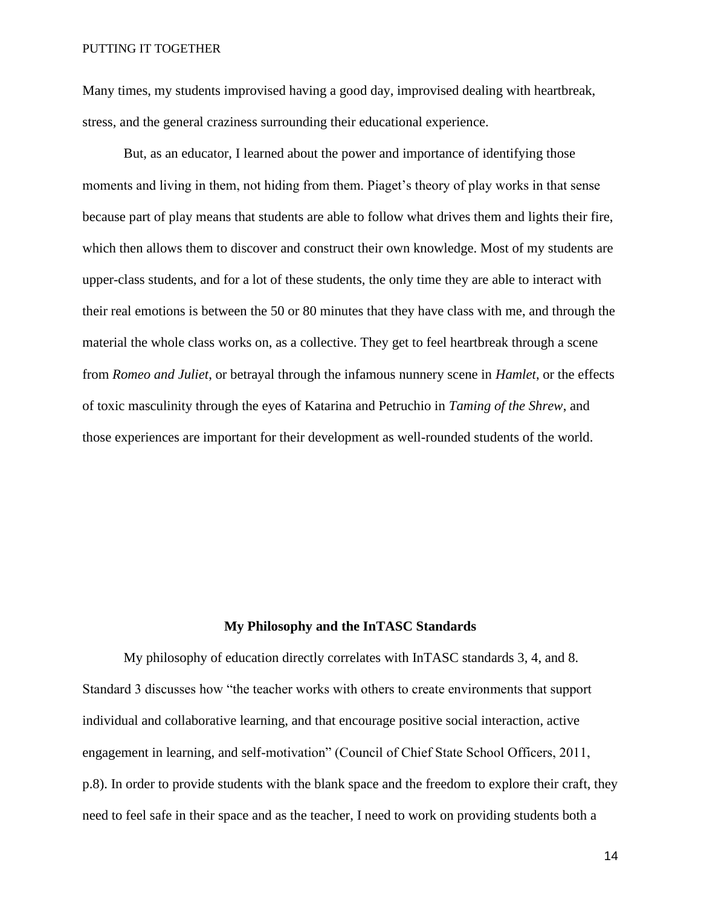Many times, my students improvised having a good day, improvised dealing with heartbreak, stress, and the general craziness surrounding their educational experience.

But, as an educator, I learned about the power and importance of identifying those moments and living in them, not hiding from them. Piaget's theory of play works in that sense because part of play means that students are able to follow what drives them and lights their fire, which then allows them to discover and construct their own knowledge. Most of my students are upper-class students, and for a lot of these students, the only time they are able to interact with their real emotions is between the 50 or 80 minutes that they have class with me, and through the material the whole class works on, as a collective. They get to feel heartbreak through a scene from *Romeo and Juliet*, or betrayal through the infamous nunnery scene in *Hamlet*, or the effects of toxic masculinity through the eyes of Katarina and Petruchio in *Taming of the Shrew*, and those experiences are important for their development as well-rounded students of the world.

#### **My Philosophy and the InTASC Standards**

 My philosophy of education directly correlates with InTASC standards 3, 4, and 8. Standard 3 discusses how "the teacher works with others to create environments that support individual and collaborative learning, and that encourage positive social interaction, active engagement in learning, and self-motivation" (Council of Chief State School Officers, 2011, p.8). In order to provide students with the blank space and the freedom to explore their craft, they need to feel safe in their space and as the teacher, I need to work on providing students both a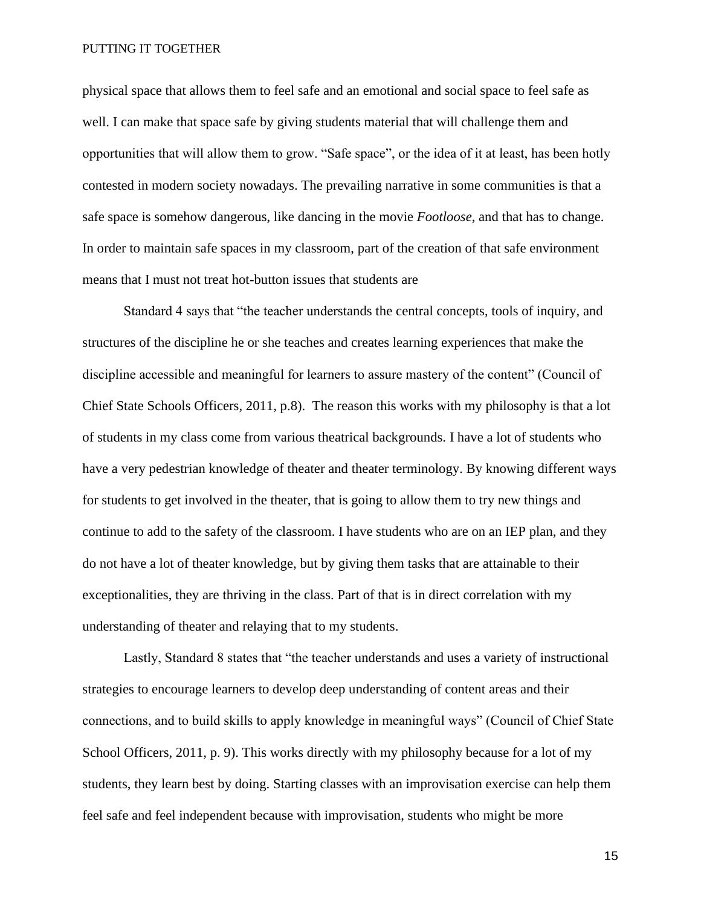physical space that allows them to feel safe and an emotional and social space to feel safe as well. I can make that space safe by giving students material that will challenge them and opportunities that will allow them to grow. "Safe space", or the idea of it at least, has been hotly contested in modern society nowadays. The prevailing narrative in some communities is that a safe space is somehow dangerous, like dancing in the movie *Footloose*, and that has to change. In order to maintain safe spaces in my classroom, part of the creation of that safe environment means that I must not treat hot-button issues that students are

 Standard 4 says that "the teacher understands the central concepts, tools of inquiry, and structures of the discipline he or she teaches and creates learning experiences that make the discipline accessible and meaningful for learners to assure mastery of the content" (Council of Chief State Schools Officers, 2011, p.8). The reason this works with my philosophy is that a lot of students in my class come from various theatrical backgrounds. I have a lot of students who have a very pedestrian knowledge of theater and theater terminology. By knowing different ways for students to get involved in the theater, that is going to allow them to try new things and continue to add to the safety of the classroom. I have students who are on an IEP plan, and they do not have a lot of theater knowledge, but by giving them tasks that are attainable to their exceptionalities, they are thriving in the class. Part of that is in direct correlation with my understanding of theater and relaying that to my students.

 Lastly, Standard 8 states that "the teacher understands and uses a variety of instructional strategies to encourage learners to develop deep understanding of content areas and their connections, and to build skills to apply knowledge in meaningful ways" (Council of Chief State School Officers, 2011, p. 9). This works directly with my philosophy because for a lot of my students, they learn best by doing. Starting classes with an improvisation exercise can help them feel safe and feel independent because with improvisation, students who might be more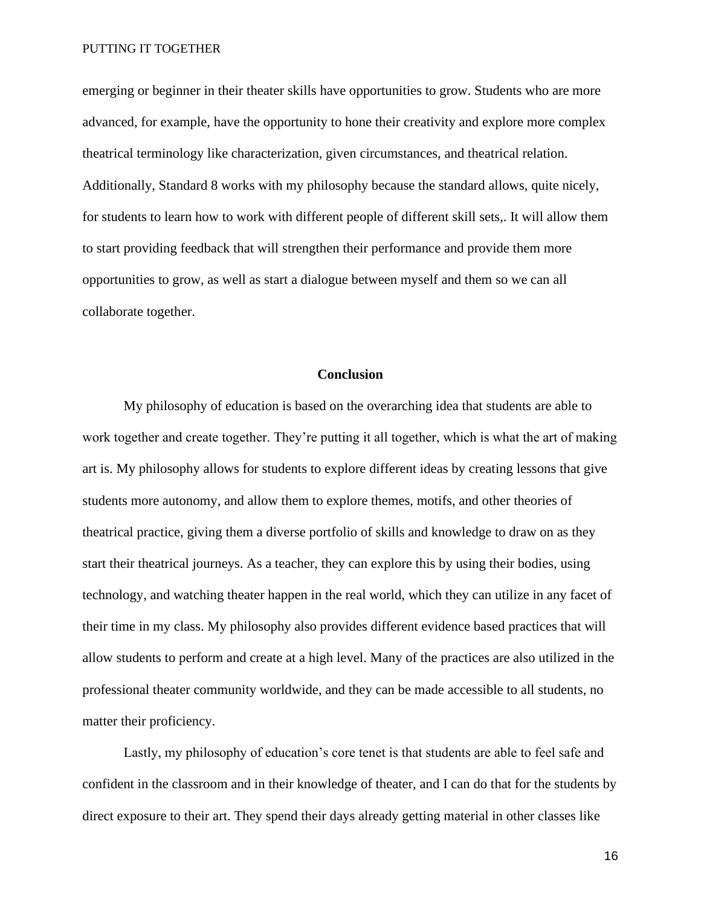emerging or beginner in their theater skills have opportunities to grow. Students who are more advanced, for example, have the opportunity to hone their creativity and explore more complex theatrical terminology like characterization, given circumstances, and theatrical relation. Additionally, Standard 8 works with my philosophy because the standard allows, quite nicely, for students to learn how to work with different people of different skill sets,. It will allow them to start providing feedback that will strengthen their performance and provide them more opportunities to grow, as well as start a dialogue between myself and them so we can all collaborate together.

## **Conclusion**

 My philosophy of education is based on the overarching idea that students are able to work together and create together. They're putting it all together, which is what the art of making art is. My philosophy allows for students to explore different ideas by creating lessons that give students more autonomy, and allow them to explore themes, motifs, and other theories of theatrical practice, giving them a diverse portfolio of skills and knowledge to draw on as they start their theatrical journeys. As a teacher, they can explore this by using their bodies, using technology, and watching theater happen in the real world, which they can utilize in any facet of their time in my class. My philosophy also provides different evidence based practices that will allow students to perform and create at a high level. Many of the practices are also utilized in the professional theater community worldwide, and they can be made accessible to all students, no matter their proficiency.

 Lastly, my philosophy of education's core tenet is that students are able to feel safe and confident in the classroom and in their knowledge of theater, and I can do that for the students by direct exposure to their art. They spend their days already getting material in other classes like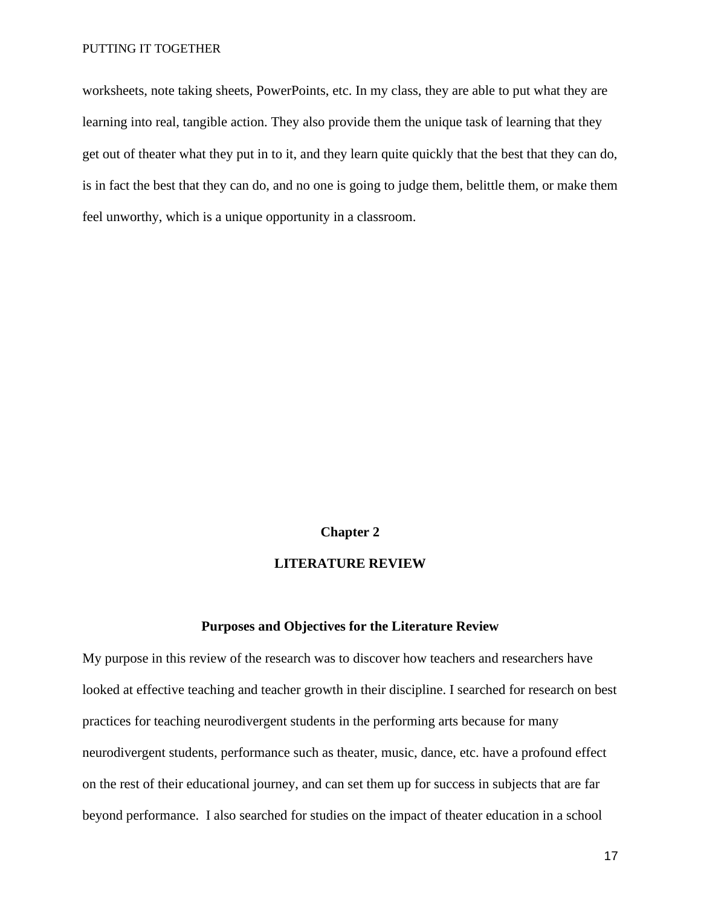worksheets, note taking sheets, PowerPoints, etc. In my class, they are able to put what they are learning into real, tangible action. They also provide them the unique task of learning that they get out of theater what they put in to it, and they learn quite quickly that the best that they can do, is in fact the best that they can do, and no one is going to judge them, belittle them, or make them feel unworthy, which is a unique opportunity in a classroom.

#### **Chapter 2**

### **LITERATURE REVIEW**

## **Purposes and Objectives for the Literature Review**

My purpose in this review of the research was to discover how teachers and researchers have looked at effective teaching and teacher growth in their discipline. I searched for research on best practices for teaching neurodivergent students in the performing arts because for many neurodivergent students, performance such as theater, music, dance, etc. have a profound effect on the rest of their educational journey, and can set them up for success in subjects that are far beyond performance. I also searched for studies on the impact of theater education in a school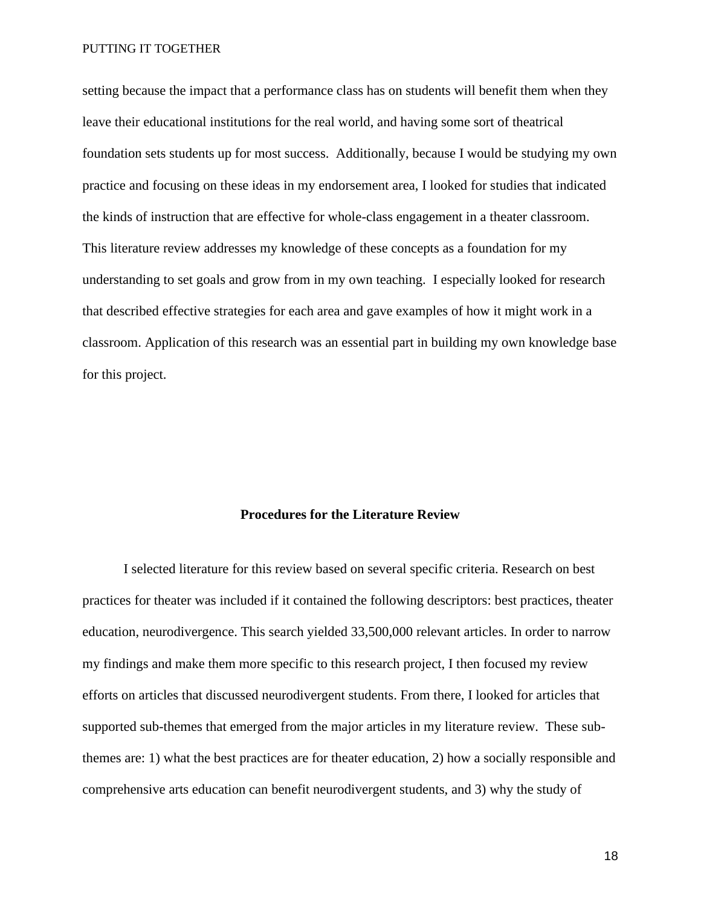setting because the impact that a performance class has on students will benefit them when they leave their educational institutions for the real world, and having some sort of theatrical foundation sets students up for most success. Additionally, because I would be studying my own practice and focusing on these ideas in my endorsement area, I looked for studies that indicated the kinds of instruction that are effective for whole-class engagement in a theater classroom. This literature review addresses my knowledge of these concepts as a foundation for my understanding to set goals and grow from in my own teaching. I especially looked for research that described effective strategies for each area and gave examples of how it might work in a classroom. Application of this research was an essential part in building my own knowledge base for this project.

#### **Procedures for the Literature Review**

 I selected literature for this review based on several specific criteria. Research on best practices for theater was included if it contained the following descriptors: best practices, theater education, neurodivergence. This search yielded 33,500,000 relevant articles. In order to narrow my findings and make them more specific to this research project, I then focused my review efforts on articles that discussed neurodivergent students. From there, I looked for articles that supported sub-themes that emerged from the major articles in my literature review. These subthemes are: 1) what the best practices are for theater education, 2) how a socially responsible and comprehensive arts education can benefit neurodivergent students, and 3) why the study of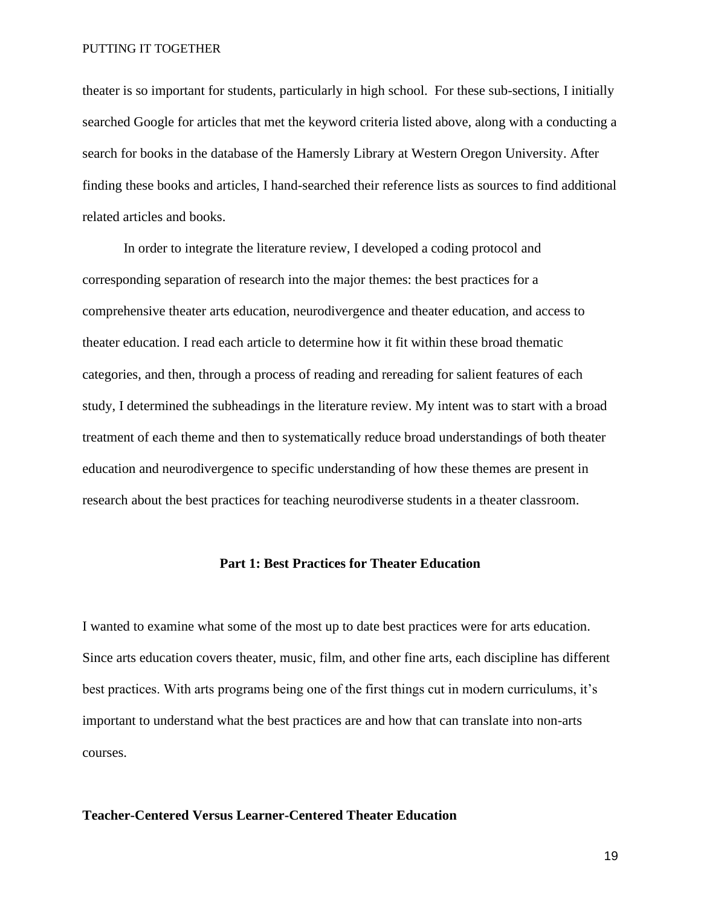theater is so important for students, particularly in high school. For these sub-sections, I initially searched Google for articles that met the keyword criteria listed above, along with a conducting a search for books in the database of the Hamersly Library at Western Oregon University. After finding these books and articles, I hand-searched their reference lists as sources to find additional related articles and books.

 In order to integrate the literature review, I developed a coding protocol and corresponding separation of research into the major themes: the best practices for a comprehensive theater arts education, neurodivergence and theater education, and access to theater education. I read each article to determine how it fit within these broad thematic categories, and then, through a process of reading and rereading for salient features of each study, I determined the subheadings in the literature review. My intent was to start with a broad treatment of each theme and then to systematically reduce broad understandings of both theater education and neurodivergence to specific understanding of how these themes are present in research about the best practices for teaching neurodiverse students in a theater classroom.

## **Part 1: Best Practices for Theater Education**

I wanted to examine what some of the most up to date best practices were for arts education. Since arts education covers theater, music, film, and other fine arts, each discipline has different best practices. With arts programs being one of the first things cut in modern curriculums, it's important to understand what the best practices are and how that can translate into non-arts courses.

#### **Teacher-Centered Versus Learner-Centered Theater Education**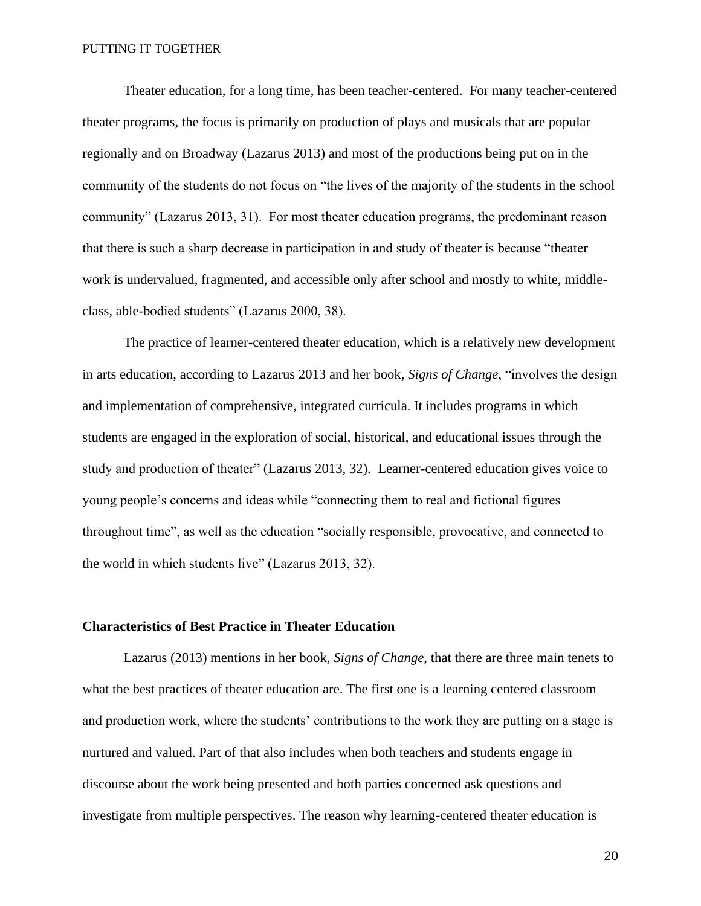Theater education, for a long time, has been teacher-centered. For many teacher-centered theater programs, the focus is primarily on production of plays and musicals that are popular regionally and on Broadway (Lazarus 2013) and most of the productions being put on in the community of the students do not focus on "the lives of the majority of the students in the school community" (Lazarus 2013, 31). For most theater education programs, the predominant reason that there is such a sharp decrease in participation in and study of theater is because "theater work is undervalued, fragmented, and accessible only after school and mostly to white, middleclass, able-bodied students" (Lazarus 2000, 38).

The practice of learner-centered theater education, which is a relatively new development in arts education, according to Lazarus 2013 and her book, *Signs of Change*, "involves the design and implementation of comprehensive, integrated curricula. It includes programs in which students are engaged in the exploration of social, historical, and educational issues through the study and production of theater" (Lazarus 2013, 32). Learner-centered education gives voice to young people's concerns and ideas while "connecting them to real and fictional figures throughout time", as well as the education "socially responsible, provocative, and connected to the world in which students live" (Lazarus 2013, 32).

## **Characteristics of Best Practice in Theater Education**

Lazarus (2013) mentions in her book, *Signs of Change*, that there are three main tenets to what the best practices of theater education are. The first one is a learning centered classroom and production work, where the students' contributions to the work they are putting on a stage is nurtured and valued. Part of that also includes when both teachers and students engage in discourse about the work being presented and both parties concerned ask questions and investigate from multiple perspectives. The reason why learning-centered theater education is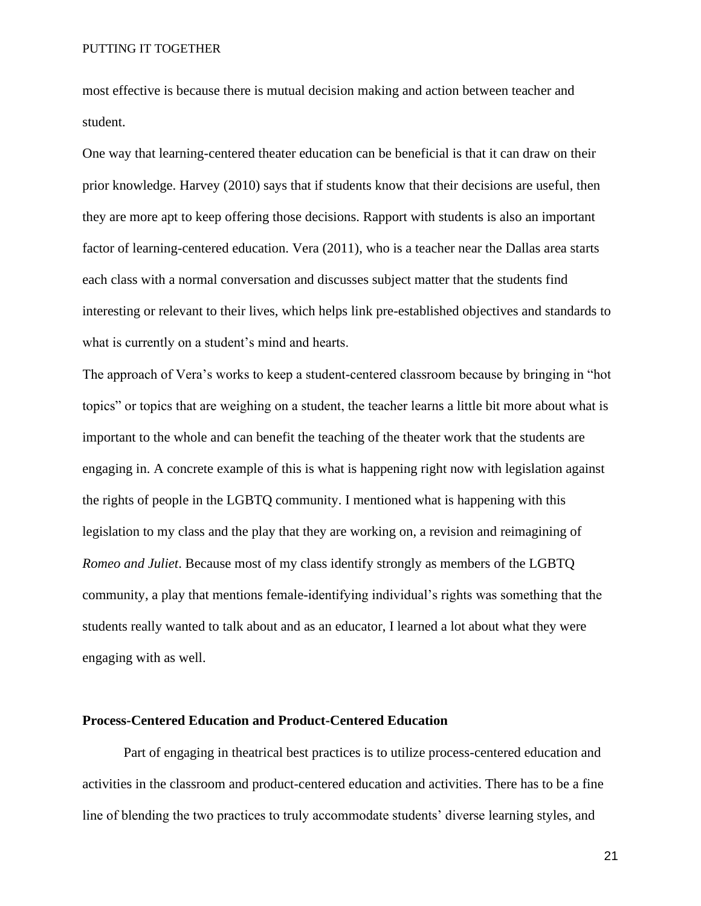most effective is because there is mutual decision making and action between teacher and student.

One way that learning-centered theater education can be beneficial is that it can draw on their prior knowledge. Harvey (2010) says that if students know that their decisions are useful, then they are more apt to keep offering those decisions. Rapport with students is also an important factor of learning-centered education. Vera (2011), who is a teacher near the Dallas area starts each class with a normal conversation and discusses subject matter that the students find interesting or relevant to their lives, which helps link pre-established objectives and standards to what is currently on a student's mind and hearts.

The approach of Vera's works to keep a student-centered classroom because by bringing in "hot topics" or topics that are weighing on a student, the teacher learns a little bit more about what is important to the whole and can benefit the teaching of the theater work that the students are engaging in. A concrete example of this is what is happening right now with legislation against the rights of people in the LGBTQ community. I mentioned what is happening with this legislation to my class and the play that they are working on, a revision and reimagining of *Romeo and Juliet*. Because most of my class identify strongly as members of the LGBTQ community, a play that mentions female-identifying individual's rights was something that the students really wanted to talk about and as an educator, I learned a lot about what they were engaging with as well.

## **Process-Centered Education and Product-Centered Education**

Part of engaging in theatrical best practices is to utilize process-centered education and activities in the classroom and product-centered education and activities. There has to be a fine line of blending the two practices to truly accommodate students' diverse learning styles, and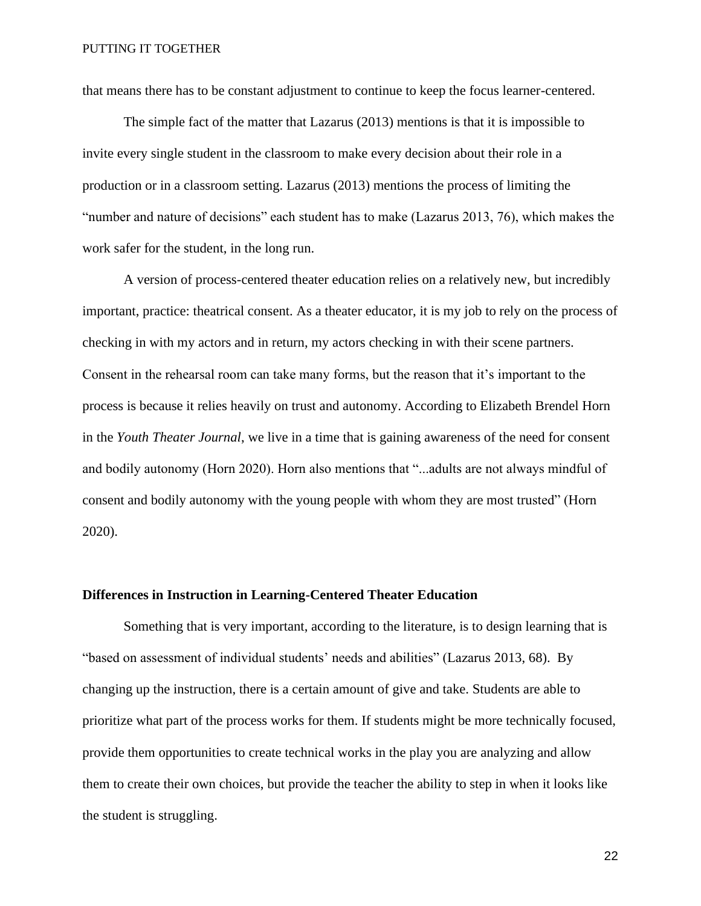that means there has to be constant adjustment to continue to keep the focus learner-centered.

The simple fact of the matter that Lazarus (2013) mentions is that it is impossible to invite every single student in the classroom to make every decision about their role in a production or in a classroom setting. Lazarus (2013) mentions the process of limiting the "number and nature of decisions" each student has to make (Lazarus 2013, 76), which makes the work safer for the student, in the long run.

A version of process-centered theater education relies on a relatively new, but incredibly important, practice: theatrical consent. As a theater educator, it is my job to rely on the process of checking in with my actors and in return, my actors checking in with their scene partners. Consent in the rehearsal room can take many forms, but the reason that it's important to the process is because it relies heavily on trust and autonomy. According to Elizabeth Brendel Horn in the *Youth Theater Journal*, we live in a time that is gaining awareness of the need for consent and bodily autonomy (Horn 2020). Horn also mentions that "...adults are not always mindful of consent and bodily autonomy with the young people with whom they are most trusted" (Horn 2020).

## **Differences in Instruction in Learning-Centered Theater Education**

Something that is very important, according to the literature, is to design learning that is "based on assessment of individual students' needs and abilities" (Lazarus 2013, 68). By changing up the instruction, there is a certain amount of give and take. Students are able to prioritize what part of the process works for them. If students might be more technically focused, provide them opportunities to create technical works in the play you are analyzing and allow them to create their own choices, but provide the teacher the ability to step in when it looks like the student is struggling.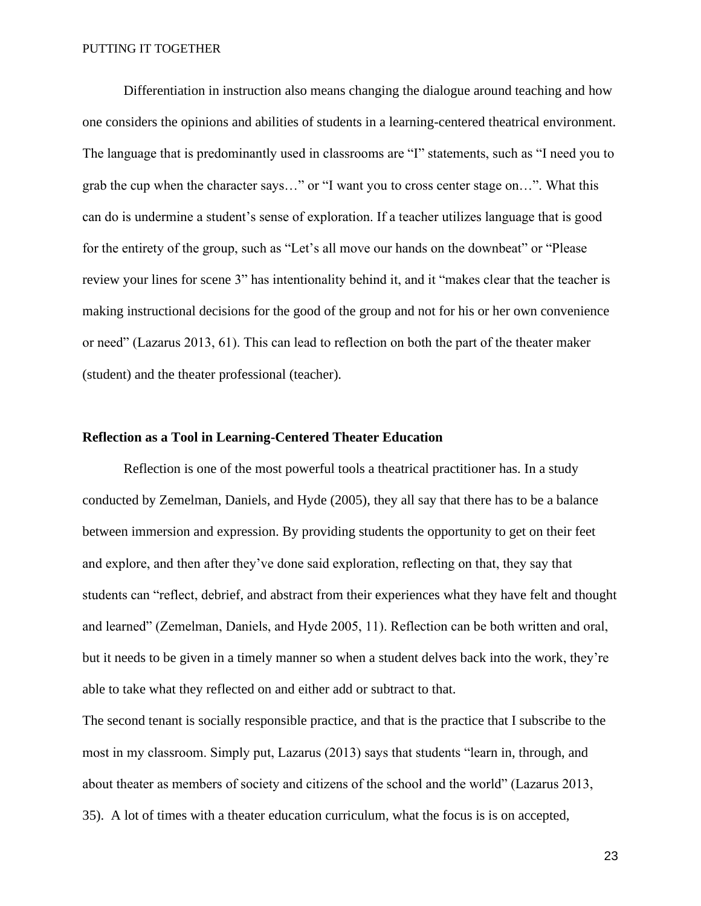Differentiation in instruction also means changing the dialogue around teaching and how one considers the opinions and abilities of students in a learning-centered theatrical environment. The language that is predominantly used in classrooms are "I" statements, such as "I need you to grab the cup when the character says…" or "I want you to cross center stage on…". What this can do is undermine a student's sense of exploration. If a teacher utilizes language that is good for the entirety of the group, such as "Let's all move our hands on the downbeat" or "Please review your lines for scene 3" has intentionality behind it, and it "makes clear that the teacher is making instructional decisions for the good of the group and not for his or her own convenience or need" (Lazarus 2013, 61). This can lead to reflection on both the part of the theater maker (student) and the theater professional (teacher).

## **Reflection as a Tool in Learning-Centered Theater Education**

Reflection is one of the most powerful tools a theatrical practitioner has. In a study conducted by Zemelman, Daniels, and Hyde (2005), they all say that there has to be a balance between immersion and expression. By providing students the opportunity to get on their feet and explore, and then after they've done said exploration, reflecting on that, they say that students can "reflect, debrief, and abstract from their experiences what they have felt and thought and learned" (Zemelman, Daniels, and Hyde 2005, 11). Reflection can be both written and oral, but it needs to be given in a timely manner so when a student delves back into the work, they're able to take what they reflected on and either add or subtract to that.

The second tenant is socially responsible practice, and that is the practice that I subscribe to the most in my classroom. Simply put, Lazarus (2013) says that students "learn in, through, and about theater as members of society and citizens of the school and the world" (Lazarus 2013, 35). A lot of times with a theater education curriculum, what the focus is is on accepted,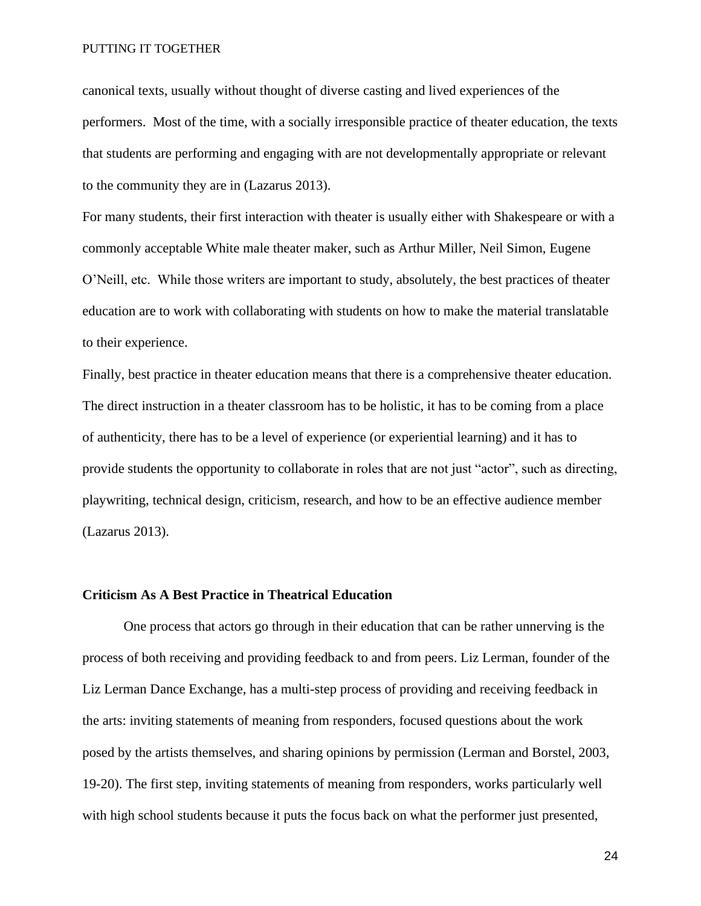canonical texts, usually without thought of diverse casting and lived experiences of the performers. Most of the time, with a socially irresponsible practice of theater education, the texts that students are performing and engaging with are not developmentally appropriate or relevant to the community they are in (Lazarus 2013).

For many students, their first interaction with theater is usually either with Shakespeare or with a commonly acceptable White male theater maker, such as Arthur Miller, Neil Simon, Eugene O'Neill, etc. While those writers are important to study, absolutely, the best practices of theater education are to work with collaborating with students on how to make the material translatable to their experience.

Finally, best practice in theater education means that there is a comprehensive theater education. The direct instruction in a theater classroom has to be holistic, it has to be coming from a place of authenticity, there has to be a level of experience (or experiential learning) and it has to provide students the opportunity to collaborate in roles that are not just "actor", such as directing, playwriting, technical design, criticism, research, and how to be an effective audience member (Lazarus 2013).

## **Criticism As A Best Practice in Theatrical Education**

One process that actors go through in their education that can be rather unnerving is the process of both receiving and providing feedback to and from peers. Liz Lerman, founder of the Liz Lerman Dance Exchange, has a multi-step process of providing and receiving feedback in the arts: inviting statements of meaning from responders, focused questions about the work posed by the artists themselves, and sharing opinions by permission (Lerman and Borstel, 2003, 19-20). The first step, inviting statements of meaning from responders, works particularly well with high school students because it puts the focus back on what the performer just presented,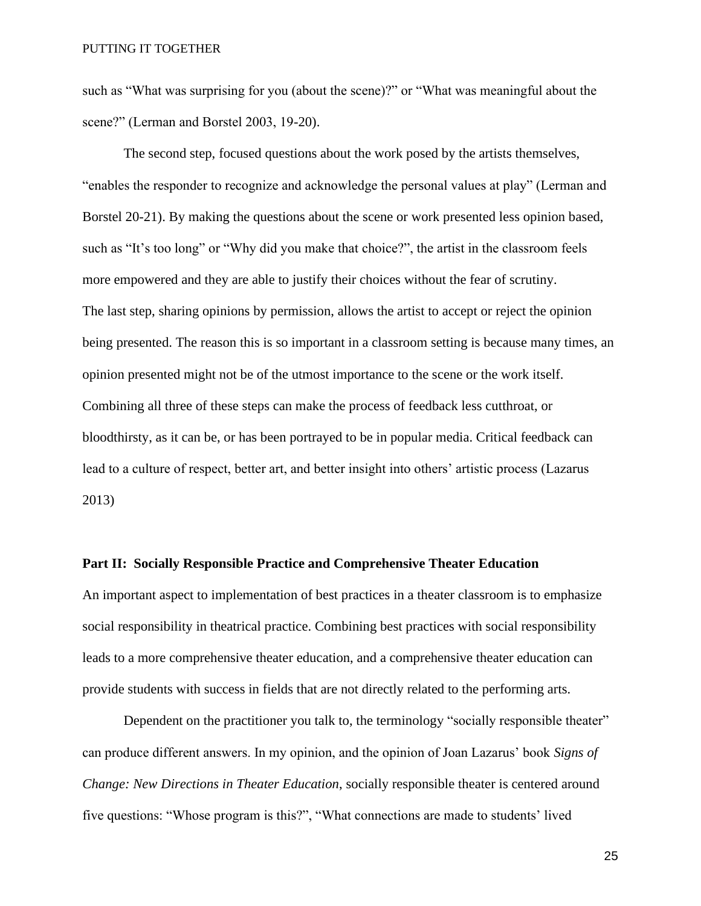such as "What was surprising for you (about the scene)?" or "What was meaningful about the scene?" (Lerman and Borstel 2003, 19-20).

The second step, focused questions about the work posed by the artists themselves, "enables the responder to recognize and acknowledge the personal values at play" (Lerman and Borstel 20-21). By making the questions about the scene or work presented less opinion based, such as "It's too long" or "Why did you make that choice?", the artist in the classroom feels more empowered and they are able to justify their choices without the fear of scrutiny. The last step, sharing opinions by permission, allows the artist to accept or reject the opinion being presented. The reason this is so important in a classroom setting is because many times, an opinion presented might not be of the utmost importance to the scene or the work itself. Combining all three of these steps can make the process of feedback less cutthroat, or bloodthirsty, as it can be, or has been portrayed to be in popular media. Critical feedback can lead to a culture of respect, better art, and better insight into others' artistic process (Lazarus 2013)

## **Part II: Socially Responsible Practice and Comprehensive Theater Education**

An important aspect to implementation of best practices in a theater classroom is to emphasize social responsibility in theatrical practice. Combining best practices with social responsibility leads to a more comprehensive theater education, and a comprehensive theater education can provide students with success in fields that are not directly related to the performing arts.

Dependent on the practitioner you talk to, the terminology "socially responsible theater" can produce different answers. In my opinion, and the opinion of Joan Lazarus' book *Signs of Change: New Directions in Theater Education*, socially responsible theater is centered around five questions: "Whose program is this?", "What connections are made to students' lived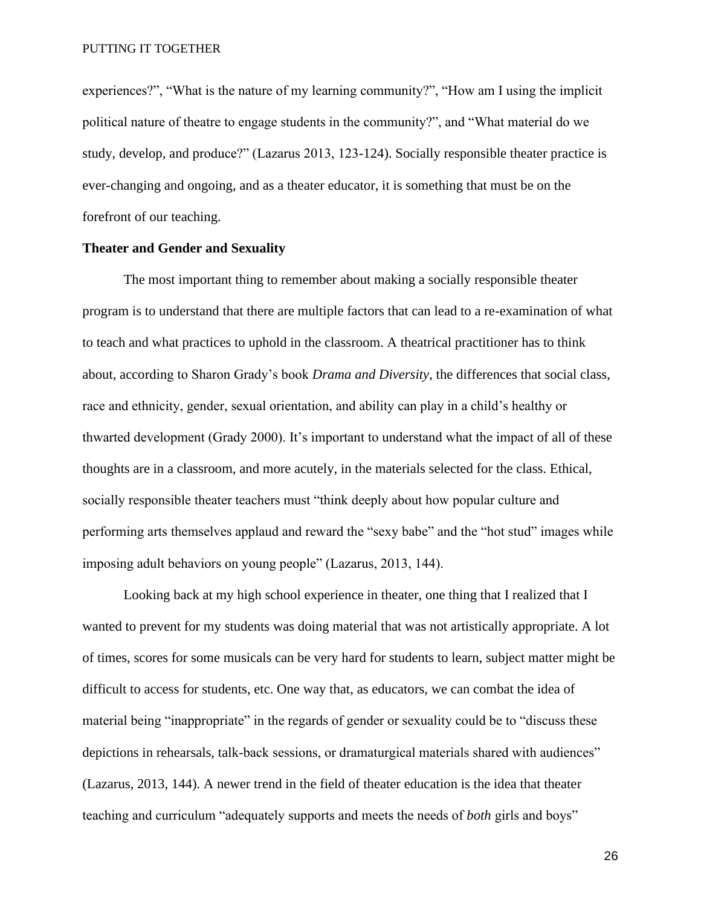experiences?", "What is the nature of my learning community?", "How am I using the implicit political nature of theatre to engage students in the community?", and "What material do we study, develop, and produce?" (Lazarus 2013, 123-124). Socially responsible theater practice is ever-changing and ongoing, and as a theater educator, it is something that must be on the forefront of our teaching.

## **Theater and Gender and Sexuality**

The most important thing to remember about making a socially responsible theater program is to understand that there are multiple factors that can lead to a re-examination of what to teach and what practices to uphold in the classroom. A theatrical practitioner has to think about, according to Sharon Grady's book *Drama and Diversity*, the differences that social class, race and ethnicity, gender, sexual orientation, and ability can play in a child's healthy or thwarted development (Grady 2000). It's important to understand what the impact of all of these thoughts are in a classroom, and more acutely, in the materials selected for the class. Ethical, socially responsible theater teachers must "think deeply about how popular culture and performing arts themselves applaud and reward the "sexy babe" and the "hot stud" images while imposing adult behaviors on young people" (Lazarus, 2013, 144).

Looking back at my high school experience in theater, one thing that I realized that I wanted to prevent for my students was doing material that was not artistically appropriate. A lot of times, scores for some musicals can be very hard for students to learn, subject matter might be difficult to access for students, etc. One way that, as educators, we can combat the idea of material being "inappropriate" in the regards of gender or sexuality could be to "discuss these depictions in rehearsals, talk-back sessions, or dramaturgical materials shared with audiences" (Lazarus, 2013, 144). A newer trend in the field of theater education is the idea that theater teaching and curriculum "adequately supports and meets the needs of *both* girls and boys"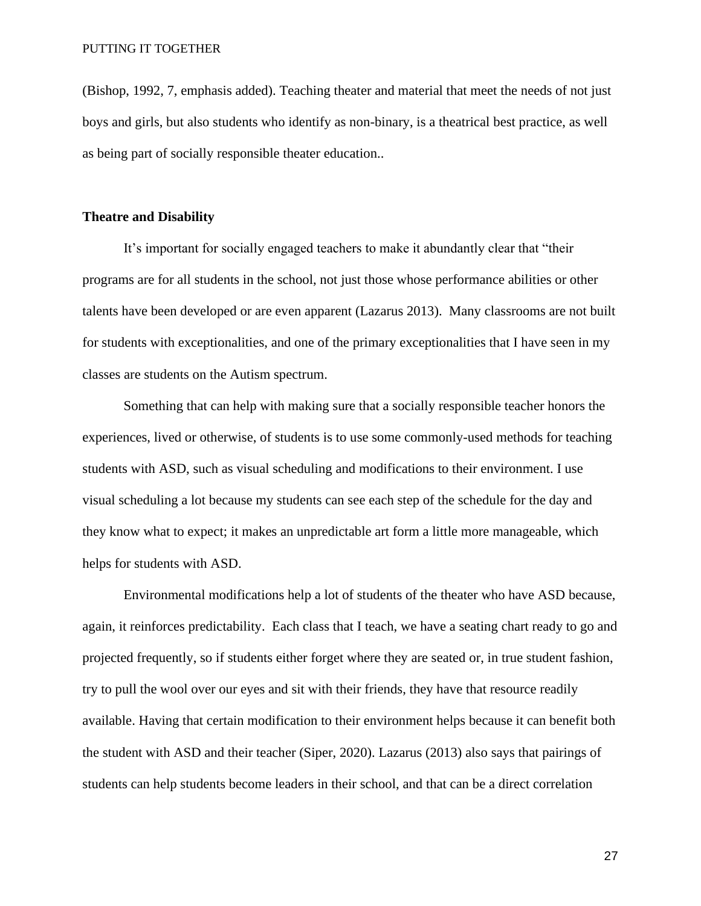(Bishop, 1992, 7, emphasis added). Teaching theater and material that meet the needs of not just boys and girls, but also students who identify as non-binary, is a theatrical best practice, as well as being part of socially responsible theater education..

#### **Theatre and Disability**

It's important for socially engaged teachers to make it abundantly clear that "their programs are for all students in the school, not just those whose performance abilities or other talents have been developed or are even apparent (Lazarus 2013). Many classrooms are not built for students with exceptionalities, and one of the primary exceptionalities that I have seen in my classes are students on the Autism spectrum.

Something that can help with making sure that a socially responsible teacher honors the experiences, lived or otherwise, of students is to use some commonly-used methods for teaching students with ASD, such as visual scheduling and modifications to their environment. I use visual scheduling a lot because my students can see each step of the schedule for the day and they know what to expect; it makes an unpredictable art form a little more manageable, which helps for students with ASD.

Environmental modifications help a lot of students of the theater who have ASD because, again, it reinforces predictability. Each class that I teach, we have a seating chart ready to go and projected frequently, so if students either forget where they are seated or, in true student fashion, try to pull the wool over our eyes and sit with their friends, they have that resource readily available. Having that certain modification to their environment helps because it can benefit both the student with ASD and their teacher (Siper, 2020). Lazarus (2013) also says that pairings of students can help students become leaders in their school, and that can be a direct correlation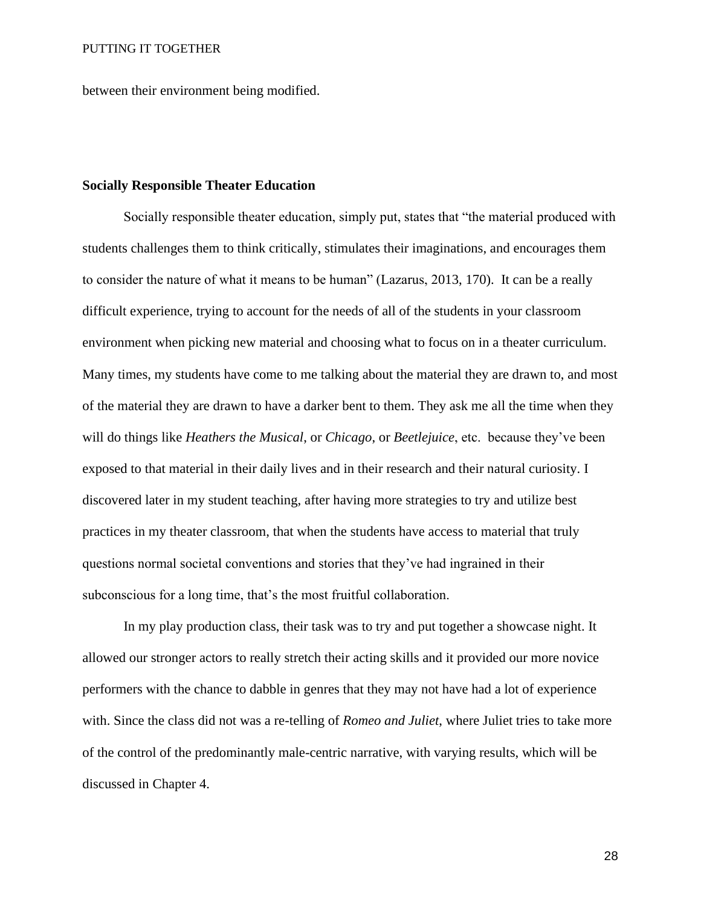between their environment being modified.

#### **Socially Responsible Theater Education**

Socially responsible theater education, simply put, states that "the material produced with students challenges them to think critically, stimulates their imaginations, and encourages them to consider the nature of what it means to be human" (Lazarus, 2013, 170). It can be a really difficult experience, trying to account for the needs of all of the students in your classroom environment when picking new material and choosing what to focus on in a theater curriculum. Many times, my students have come to me talking about the material they are drawn to, and most of the material they are drawn to have a darker bent to them. They ask me all the time when they will do things like *Heathers the Musical*, or *Chicago*, or *Beetlejuice*, etc. because they've been exposed to that material in their daily lives and in their research and their natural curiosity. I discovered later in my student teaching, after having more strategies to try and utilize best practices in my theater classroom, that when the students have access to material that truly questions normal societal conventions and stories that they've had ingrained in their subconscious for a long time, that's the most fruitful collaboration.

In my play production class, their task was to try and put together a showcase night. It allowed our stronger actors to really stretch their acting skills and it provided our more novice performers with the chance to dabble in genres that they may not have had a lot of experience with. Since the class did not was a re-telling of *Romeo and Juliet*, where Juliet tries to take more of the control of the predominantly male-centric narrative, with varying results, which will be discussed in Chapter 4.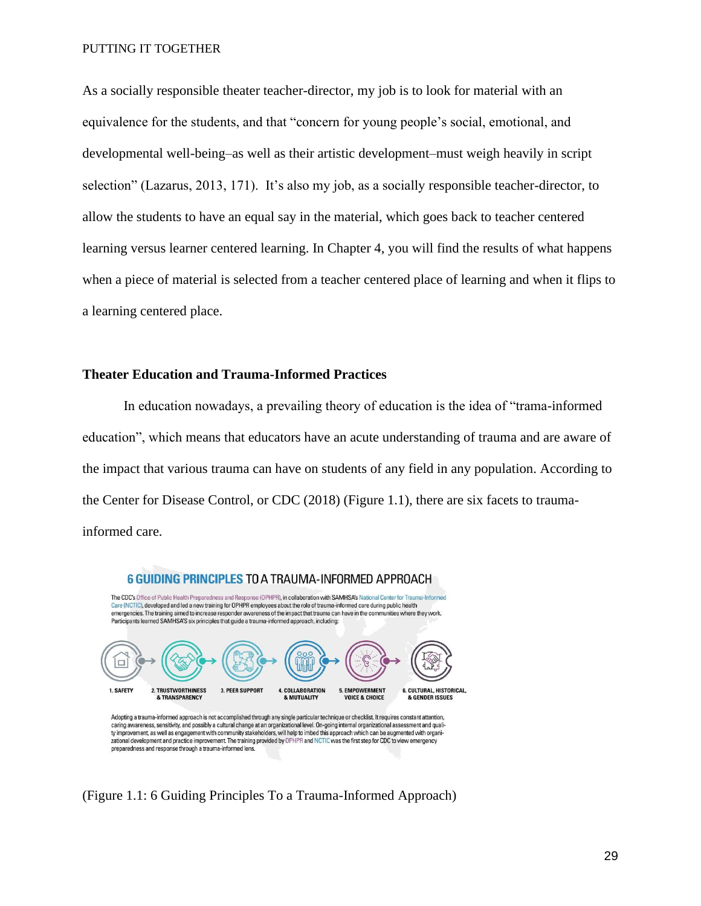As a socially responsible theater teacher-director, my job is to look for material with an equivalence for the students, and that "concern for young people's social, emotional, and developmental well-being–as well as their artistic development–must weigh heavily in script selection" (Lazarus, 2013, 171). It's also my job, as a socially responsible teacher-director, to allow the students to have an equal say in the material, which goes back to teacher centered learning versus learner centered learning. In Chapter 4, you will find the results of what happens when a piece of material is selected from a teacher centered place of learning and when it flips to a learning centered place.

## **Theater Education and Trauma-Informed Practices**

In education nowadays, a prevailing theory of education is the idea of "trama-informed education", which means that educators have an acute understanding of trauma and are aware of the impact that various trauma can have on students of any field in any population. According to the Center for Disease Control, or CDC (2018) (Figure 1.1), there are six facets to traumainformed care.



ty improvement, as well as engagement with community stakeholders, will help to imbed this approach which can be augmented with organi-<br>zational development and practice improvement. The training provided by OPHPR and NCTI preparedness and response through a trauma-informed lens

(Figure 1.1: 6 Guiding Principles To a Trauma-Informed Approach)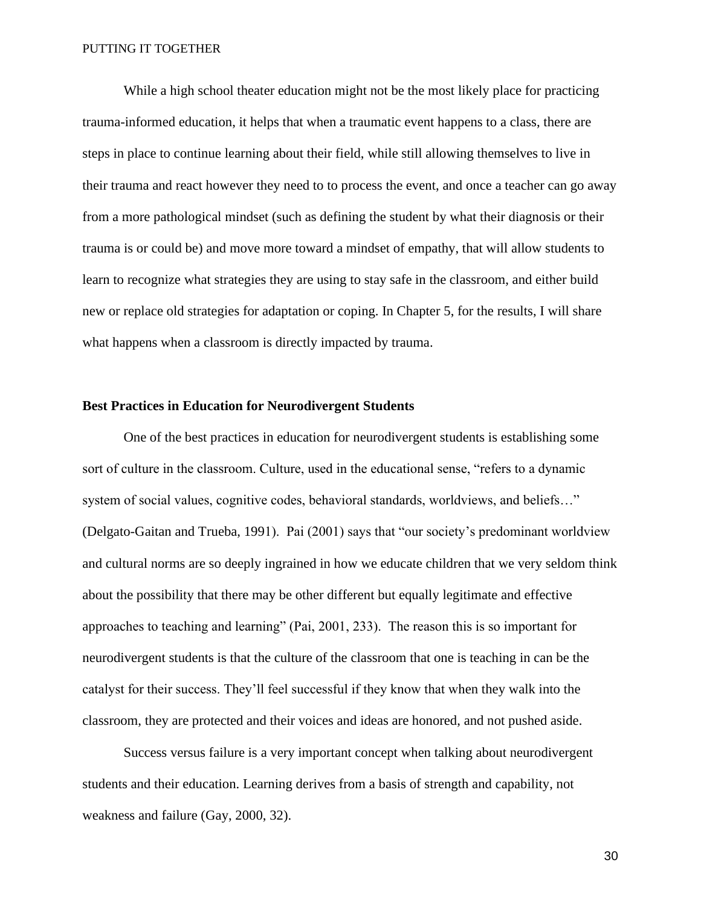While a high school theater education might not be the most likely place for practicing trauma-informed education, it helps that when a traumatic event happens to a class, there are steps in place to continue learning about their field, while still allowing themselves to live in their trauma and react however they need to to process the event, and once a teacher can go away from a more pathological mindset (such as defining the student by what their diagnosis or their trauma is or could be) and move more toward a mindset of empathy, that will allow students to learn to recognize what strategies they are using to stay safe in the classroom, and either build new or replace old strategies for adaptation or coping. In Chapter 5, for the results, I will share what happens when a classroom is directly impacted by trauma.

#### **Best Practices in Education for Neurodivergent Students**

One of the best practices in education for neurodivergent students is establishing some sort of culture in the classroom. Culture, used in the educational sense, "refers to a dynamic system of social values, cognitive codes, behavioral standards, worldviews, and beliefs..." (Delgato-Gaitan and Trueba, 1991). Pai (2001) says that "our society's predominant worldview and cultural norms are so deeply ingrained in how we educate children that we very seldom think about the possibility that there may be other different but equally legitimate and effective approaches to teaching and learning" (Pai, 2001, 233). The reason this is so important for neurodivergent students is that the culture of the classroom that one is teaching in can be the catalyst for their success. They'll feel successful if they know that when they walk into the classroom, they are protected and their voices and ideas are honored, and not pushed aside.

Success versus failure is a very important concept when talking about neurodivergent students and their education. Learning derives from a basis of strength and capability, not weakness and failure (Gay, 2000, 32).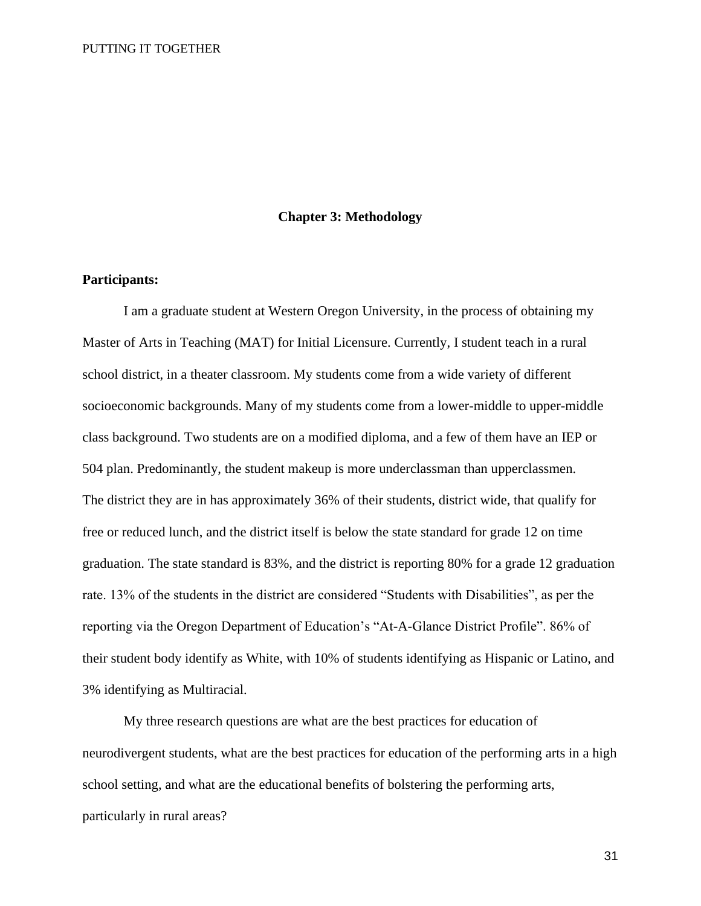#### **Chapter 3: Methodology**

### **Participants:**

I am a graduate student at Western Oregon University, in the process of obtaining my Master of Arts in Teaching (MAT) for Initial Licensure. Currently, I student teach in a rural school district, in a theater classroom. My students come from a wide variety of different socioeconomic backgrounds. Many of my students come from a lower-middle to upper-middle class background. Two students are on a modified diploma, and a few of them have an IEP or 504 plan. Predominantly, the student makeup is more underclassman than upperclassmen. The district they are in has approximately 36% of their students, district wide, that qualify for free or reduced lunch, and the district itself is below the state standard for grade 12 on time graduation. The state standard is 83%, and the district is reporting 80% for a grade 12 graduation rate. 13% of the students in the district are considered "Students with Disabilities", as per the reporting via the Oregon Department of Education's "At-A-Glance District Profile". 86% of their student body identify as White, with 10% of students identifying as Hispanic or Latino, and 3% identifying as Multiracial.

 My three research questions are what are the best practices for education of neurodivergent students, what are the best practices for education of the performing arts in a high school setting, and what are the educational benefits of bolstering the performing arts, particularly in rural areas?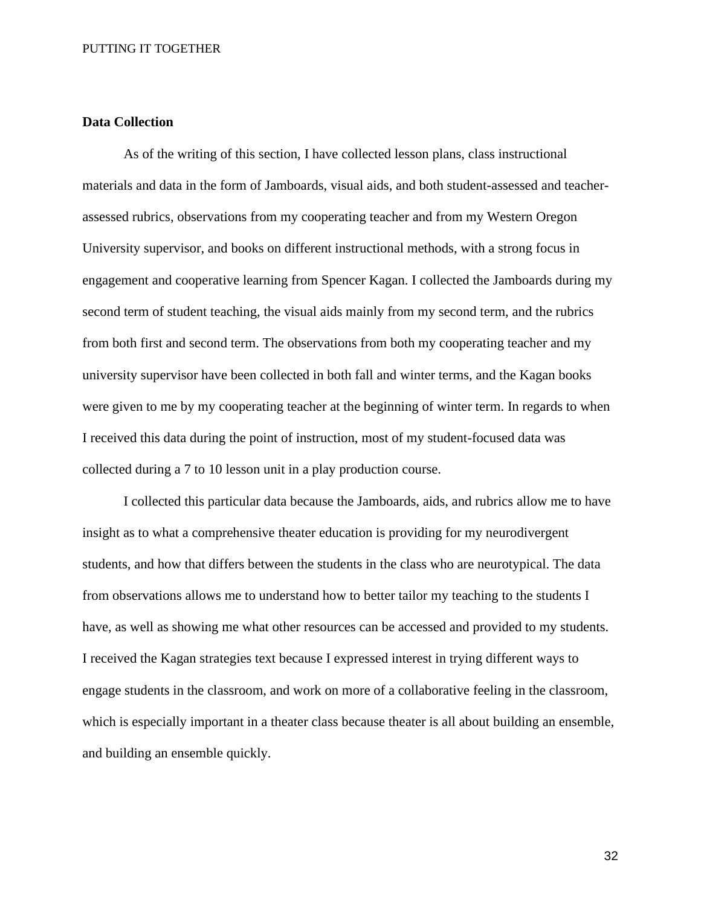## **Data Collection**

 As of the writing of this section, I have collected lesson plans, class instructional materials and data in the form of Jamboards, visual aids, and both student-assessed and teacherassessed rubrics, observations from my cooperating teacher and from my Western Oregon University supervisor, and books on different instructional methods, with a strong focus in engagement and cooperative learning from Spencer Kagan. I collected the Jamboards during my second term of student teaching, the visual aids mainly from my second term, and the rubrics from both first and second term. The observations from both my cooperating teacher and my university supervisor have been collected in both fall and winter terms, and the Kagan books were given to me by my cooperating teacher at the beginning of winter term. In regards to when I received this data during the point of instruction, most of my student-focused data was collected during a 7 to 10 lesson unit in a play production course.

 I collected this particular data because the Jamboards, aids, and rubrics allow me to have insight as to what a comprehensive theater education is providing for my neurodivergent students, and how that differs between the students in the class who are neurotypical. The data from observations allows me to understand how to better tailor my teaching to the students I have, as well as showing me what other resources can be accessed and provided to my students. I received the Kagan strategies text because I expressed interest in trying different ways to engage students in the classroom, and work on more of a collaborative feeling in the classroom, which is especially important in a theater class because theater is all about building an ensemble, and building an ensemble quickly.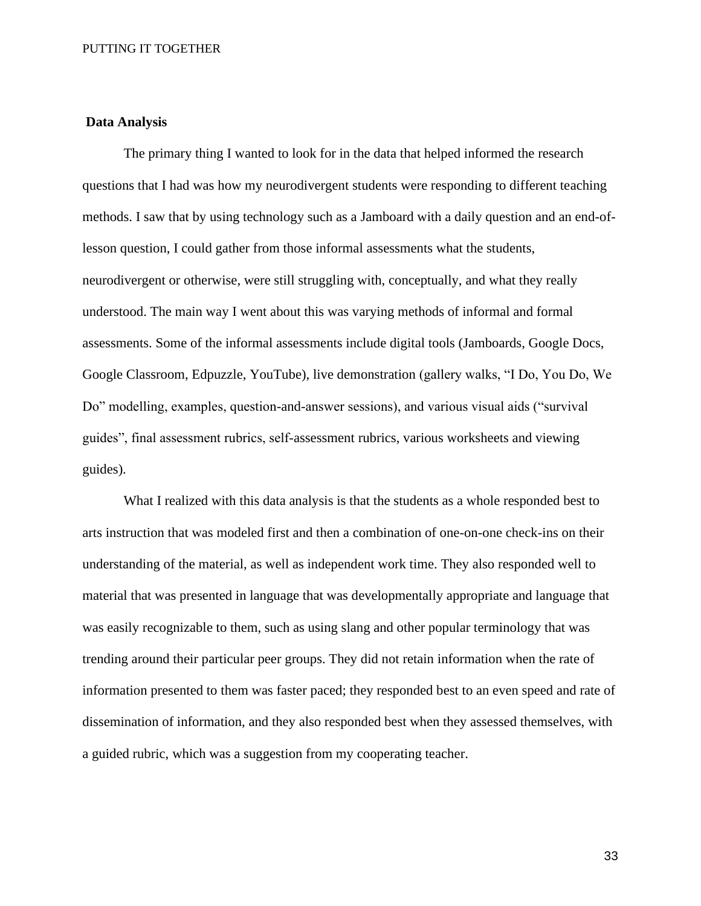#### **Data Analysis**

 The primary thing I wanted to look for in the data that helped informed the research questions that I had was how my neurodivergent students were responding to different teaching methods. I saw that by using technology such as a Jamboard with a daily question and an end-oflesson question, I could gather from those informal assessments what the students, neurodivergent or otherwise, were still struggling with, conceptually, and what they really understood. The main way I went about this was varying methods of informal and formal assessments. Some of the informal assessments include digital tools (Jamboards, Google Docs, Google Classroom, Edpuzzle, YouTube), live demonstration (gallery walks, "I Do, You Do, We Do" modelling, examples, question-and-answer sessions), and various visual aids ("survival guides", final assessment rubrics, self-assessment rubrics, various worksheets and viewing guides).

 What I realized with this data analysis is that the students as a whole responded best to arts instruction that was modeled first and then a combination of one-on-one check-ins on their understanding of the material, as well as independent work time. They also responded well to material that was presented in language that was developmentally appropriate and language that was easily recognizable to them, such as using slang and other popular terminology that was trending around their particular peer groups. They did not retain information when the rate of information presented to them was faster paced; they responded best to an even speed and rate of dissemination of information, and they also responded best when they assessed themselves, with a guided rubric, which was a suggestion from my cooperating teacher.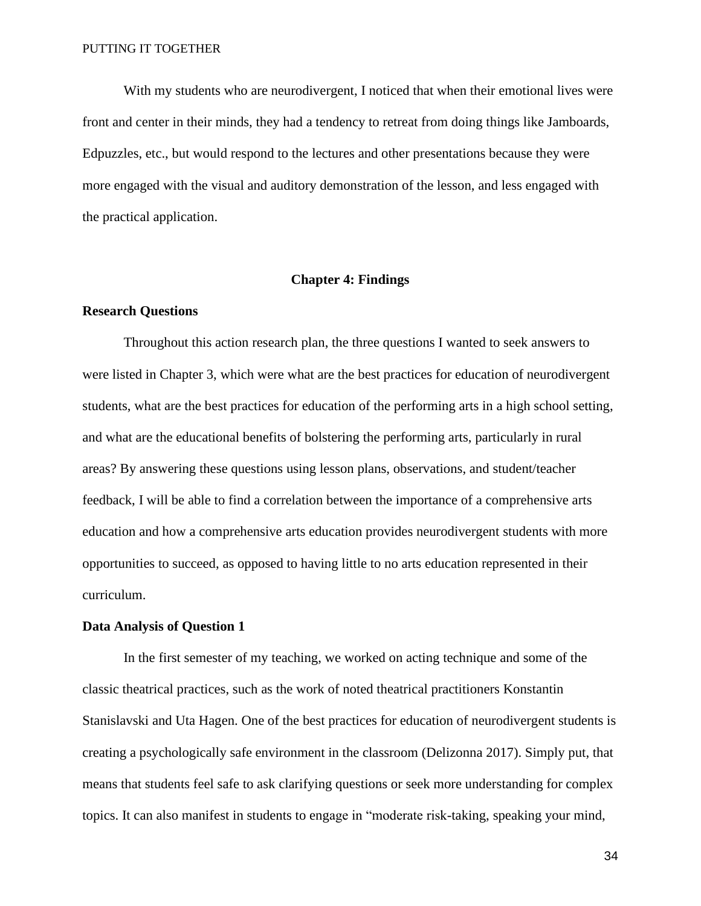With my students who are neurodivergent, I noticed that when their emotional lives were front and center in their minds, they had a tendency to retreat from doing things like Jamboards, Edpuzzles, etc., but would respond to the lectures and other presentations because they were more engaged with the visual and auditory demonstration of the lesson, and less engaged with the practical application.

## **Chapter 4: Findings**

#### **Research Questions**

Throughout this action research plan, the three questions I wanted to seek answers to were listed in Chapter 3, which were what are the best practices for education of neurodivergent students, what are the best practices for education of the performing arts in a high school setting, and what are the educational benefits of bolstering the performing arts, particularly in rural areas? By answering these questions using lesson plans, observations, and student/teacher feedback, I will be able to find a correlation between the importance of a comprehensive arts education and how a comprehensive arts education provides neurodivergent students with more opportunities to succeed, as opposed to having little to no arts education represented in their curriculum.

#### **Data Analysis of Question 1**

In the first semester of my teaching, we worked on acting technique and some of the classic theatrical practices, such as the work of noted theatrical practitioners Konstantin Stanislavski and Uta Hagen. One of the best practices for education of neurodivergent students is creating a psychologically safe environment in the classroom (Delizonna 2017). Simply put, that means that students feel safe to ask clarifying questions or seek more understanding for complex topics. It can also manifest in students to engage in "moderate risk-taking, speaking your mind,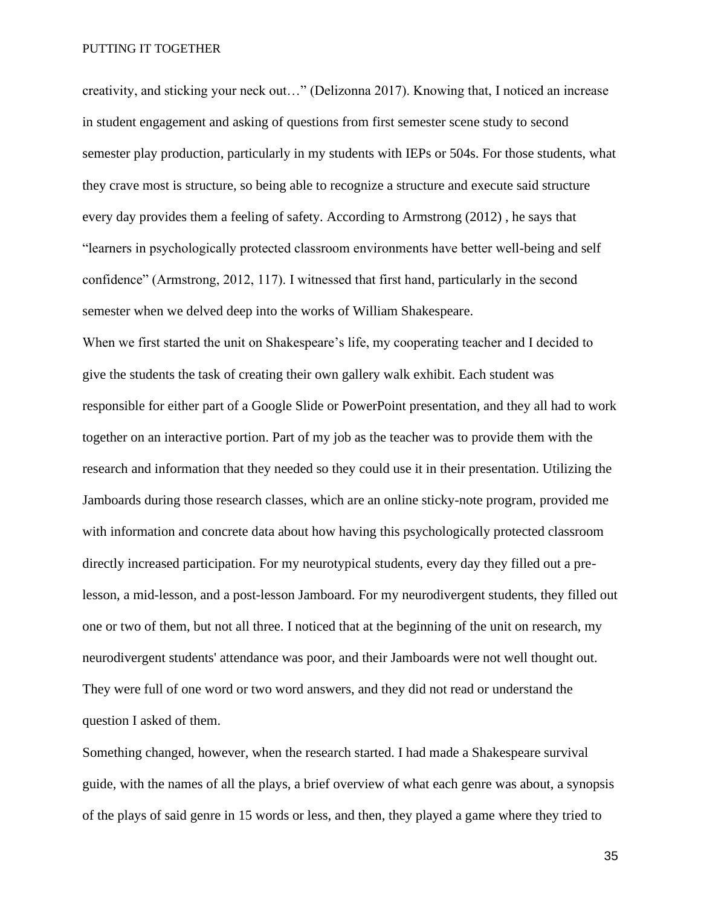creativity, and sticking your neck out…" (Delizonna 2017). Knowing that, I noticed an increase in student engagement and asking of questions from first semester scene study to second semester play production, particularly in my students with IEPs or 504s. For those students, what they crave most is structure, so being able to recognize a structure and execute said structure every day provides them a feeling of safety. According to Armstrong (2012) , he says that "learners in psychologically protected classroom environments have better well-being and self confidence" (Armstrong, 2012, 117). I witnessed that first hand, particularly in the second semester when we delved deep into the works of William Shakespeare.

When we first started the unit on Shakespeare's life, my cooperating teacher and I decided to give the students the task of creating their own gallery walk exhibit. Each student was responsible for either part of a Google Slide or PowerPoint presentation, and they all had to work together on an interactive portion. Part of my job as the teacher was to provide them with the research and information that they needed so they could use it in their presentation. Utilizing the Jamboards during those research classes, which are an online sticky-note program, provided me with information and concrete data about how having this psychologically protected classroom directly increased participation. For my neurotypical students, every day they filled out a prelesson, a mid-lesson, and a post-lesson Jamboard. For my neurodivergent students, they filled out one or two of them, but not all three. I noticed that at the beginning of the unit on research, my neurodivergent students' attendance was poor, and their Jamboards were not well thought out. They were full of one word or two word answers, and they did not read or understand the question I asked of them.

Something changed, however, when the research started. I had made a Shakespeare survival guide, with the names of all the plays, a brief overview of what each genre was about, a synopsis of the plays of said genre in 15 words or less, and then, they played a game where they tried to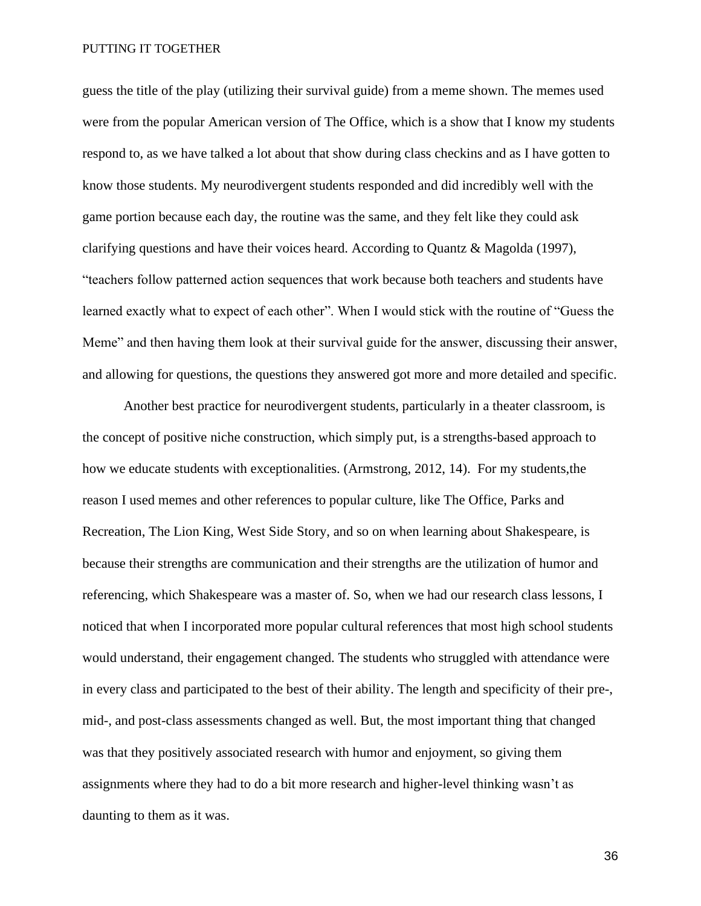guess the title of the play (utilizing their survival guide) from a meme shown. The memes used were from the popular American version of The Office, which is a show that I know my students respond to, as we have talked a lot about that show during class checkins and as I have gotten to know those students. My neurodivergent students responded and did incredibly well with the game portion because each day, the routine was the same, and they felt like they could ask clarifying questions and have their voices heard. According to Quantz & Magolda (1997), "teachers follow patterned action sequences that work because both teachers and students have learned exactly what to expect of each other". When I would stick with the routine of "Guess the Meme" and then having them look at their survival guide for the answer, discussing their answer, and allowing for questions, the questions they answered got more and more detailed and specific.

Another best practice for neurodivergent students, particularly in a theater classroom, is the concept of positive niche construction, which simply put, is a strengths-based approach to how we educate students with exceptionalities. (Armstrong, 2012, 14). For my students,the reason I used memes and other references to popular culture, like The Office, Parks and Recreation, The Lion King, West Side Story, and so on when learning about Shakespeare, is because their strengths are communication and their strengths are the utilization of humor and referencing, which Shakespeare was a master of. So, when we had our research class lessons, I noticed that when I incorporated more popular cultural references that most high school students would understand, their engagement changed. The students who struggled with attendance were in every class and participated to the best of their ability. The length and specificity of their pre-, mid-, and post-class assessments changed as well. But, the most important thing that changed was that they positively associated research with humor and enjoyment, so giving them assignments where they had to do a bit more research and higher-level thinking wasn't as daunting to them as it was.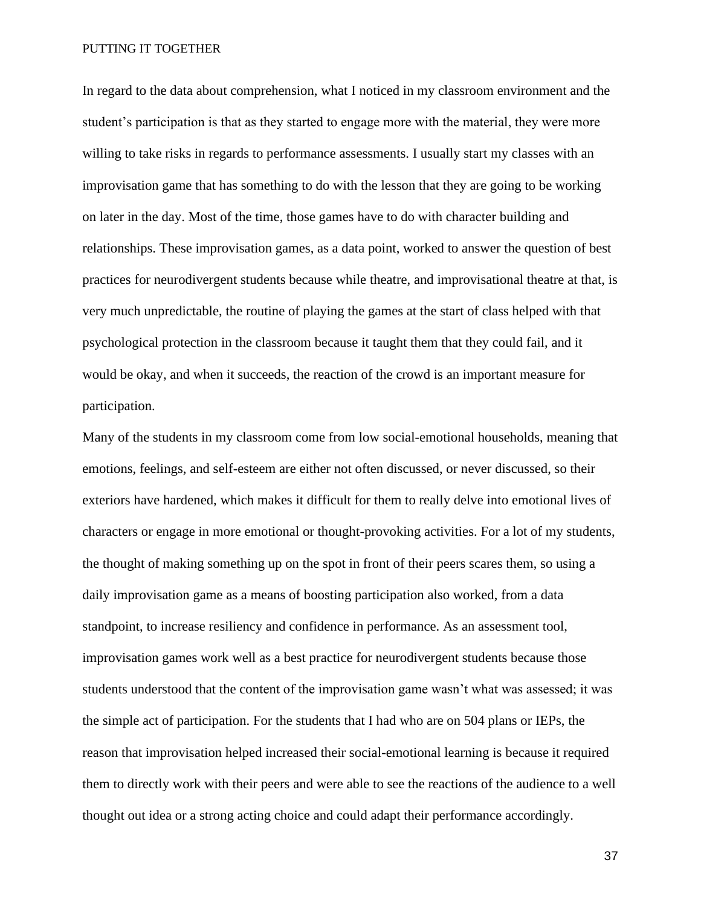In regard to the data about comprehension, what I noticed in my classroom environment and the student's participation is that as they started to engage more with the material, they were more willing to take risks in regards to performance assessments. I usually start my classes with an improvisation game that has something to do with the lesson that they are going to be working on later in the day. Most of the time, those games have to do with character building and relationships. These improvisation games, as a data point, worked to answer the question of best practices for neurodivergent students because while theatre, and improvisational theatre at that, is very much unpredictable, the routine of playing the games at the start of class helped with that psychological protection in the classroom because it taught them that they could fail, and it would be okay, and when it succeeds, the reaction of the crowd is an important measure for participation.

Many of the students in my classroom come from low social-emotional households, meaning that emotions, feelings, and self-esteem are either not often discussed, or never discussed, so their exteriors have hardened, which makes it difficult for them to really delve into emotional lives of characters or engage in more emotional or thought-provoking activities. For a lot of my students, the thought of making something up on the spot in front of their peers scares them, so using a daily improvisation game as a means of boosting participation also worked, from a data standpoint, to increase resiliency and confidence in performance. As an assessment tool, improvisation games work well as a best practice for neurodivergent students because those students understood that the content of the improvisation game wasn't what was assessed; it was the simple act of participation. For the students that I had who are on 504 plans or IEPs, the reason that improvisation helped increased their social-emotional learning is because it required them to directly work with their peers and were able to see the reactions of the audience to a well thought out idea or a strong acting choice and could adapt their performance accordingly.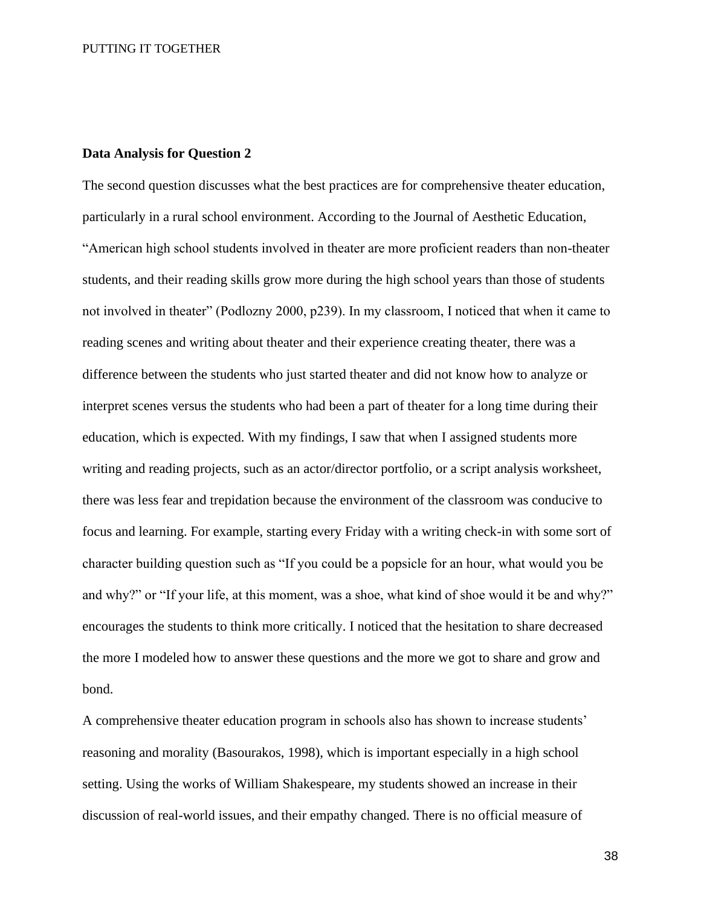#### **Data Analysis for Question 2**

The second question discusses what the best practices are for comprehensive theater education, particularly in a rural school environment. According to the Journal of Aesthetic Education, "American high school students involved in theater are more proficient readers than non-theater students, and their reading skills grow more during the high school years than those of students not involved in theater" (Podlozny 2000, p239). In my classroom, I noticed that when it came to reading scenes and writing about theater and their experience creating theater, there was a difference between the students who just started theater and did not know how to analyze or interpret scenes versus the students who had been a part of theater for a long time during their education, which is expected. With my findings, I saw that when I assigned students more writing and reading projects, such as an actor/director portfolio, or a script analysis worksheet, there was less fear and trepidation because the environment of the classroom was conducive to focus and learning. For example, starting every Friday with a writing check-in with some sort of character building question such as "If you could be a popsicle for an hour, what would you be and why?" or "If your life, at this moment, was a shoe, what kind of shoe would it be and why?" encourages the students to think more critically. I noticed that the hesitation to share decreased the more I modeled how to answer these questions and the more we got to share and grow and bond.

A comprehensive theater education program in schools also has shown to increase students' reasoning and morality (Basourakos, 1998), which is important especially in a high school setting. Using the works of William Shakespeare, my students showed an increase in their discussion of real-world issues, and their empathy changed. There is no official measure of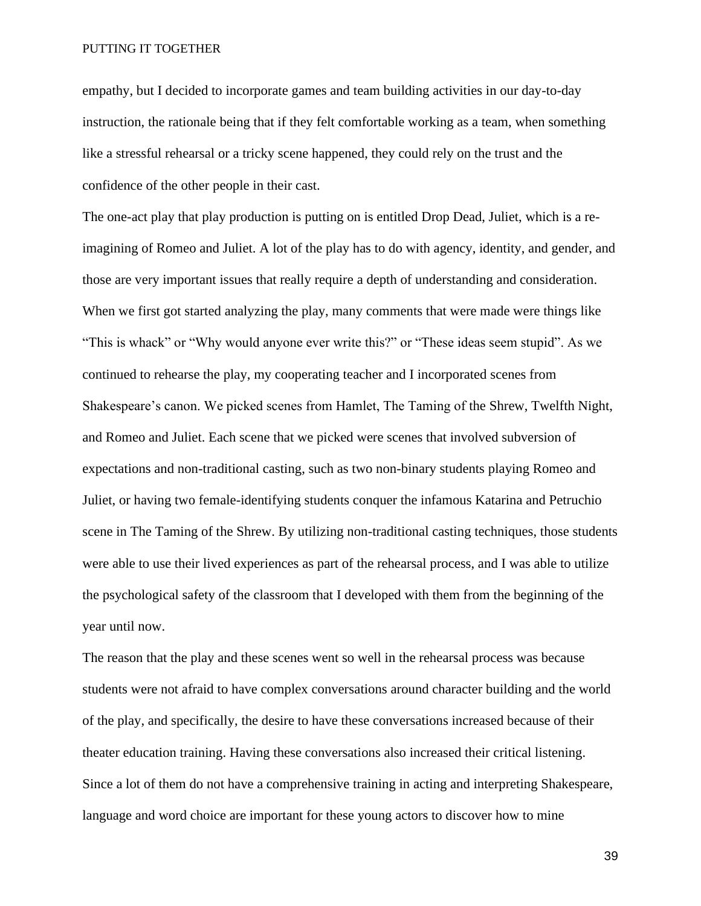empathy, but I decided to incorporate games and team building activities in our day-to-day instruction, the rationale being that if they felt comfortable working as a team, when something like a stressful rehearsal or a tricky scene happened, they could rely on the trust and the confidence of the other people in their cast.

The one-act play that play production is putting on is entitled Drop Dead, Juliet, which is a reimagining of Romeo and Juliet. A lot of the play has to do with agency, identity, and gender, and those are very important issues that really require a depth of understanding and consideration. When we first got started analyzing the play, many comments that were made were things like "This is whack" or "Why would anyone ever write this?" or "These ideas seem stupid". As we continued to rehearse the play, my cooperating teacher and I incorporated scenes from Shakespeare's canon. We picked scenes from Hamlet, The Taming of the Shrew, Twelfth Night, and Romeo and Juliet. Each scene that we picked were scenes that involved subversion of expectations and non-traditional casting, such as two non-binary students playing Romeo and Juliet, or having two female-identifying students conquer the infamous Katarina and Petruchio scene in The Taming of the Shrew. By utilizing non-traditional casting techniques, those students were able to use their lived experiences as part of the rehearsal process, and I was able to utilize the psychological safety of the classroom that I developed with them from the beginning of the year until now.

The reason that the play and these scenes went so well in the rehearsal process was because students were not afraid to have complex conversations around character building and the world of the play, and specifically, the desire to have these conversations increased because of their theater education training. Having these conversations also increased their critical listening. Since a lot of them do not have a comprehensive training in acting and interpreting Shakespeare, language and word choice are important for these young actors to discover how to mine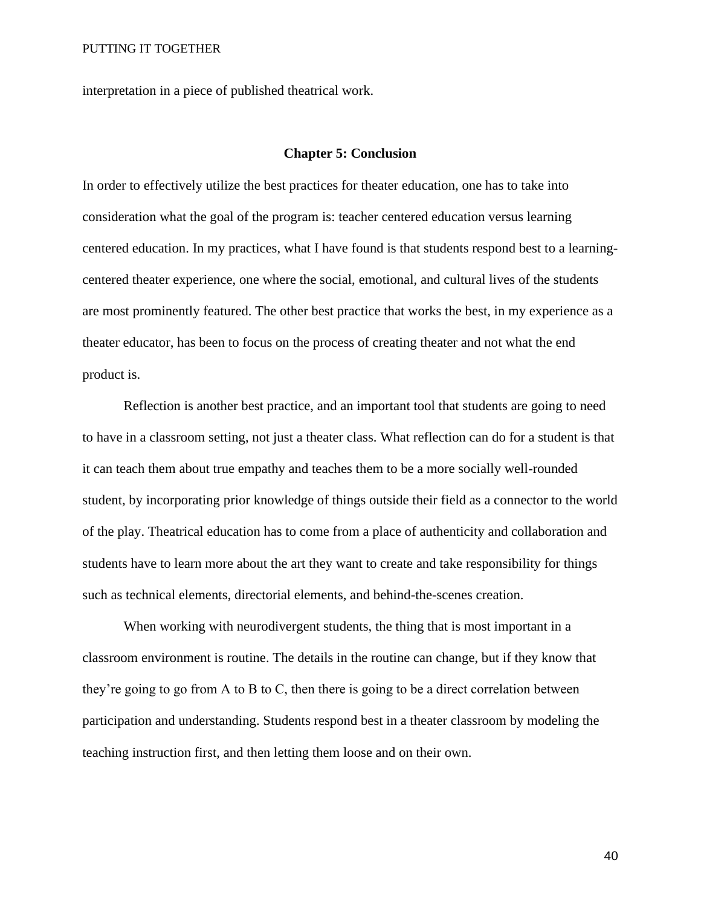interpretation in a piece of published theatrical work.

## **Chapter 5: Conclusion**

In order to effectively utilize the best practices for theater education, one has to take into consideration what the goal of the program is: teacher centered education versus learning centered education. In my practices, what I have found is that students respond best to a learningcentered theater experience, one where the social, emotional, and cultural lives of the students are most prominently featured. The other best practice that works the best, in my experience as a theater educator, has been to focus on the process of creating theater and not what the end product is.

Reflection is another best practice, and an important tool that students are going to need to have in a classroom setting, not just a theater class. What reflection can do for a student is that it can teach them about true empathy and teaches them to be a more socially well-rounded student, by incorporating prior knowledge of things outside their field as a connector to the world of the play. Theatrical education has to come from a place of authenticity and collaboration and students have to learn more about the art they want to create and take responsibility for things such as technical elements, directorial elements, and behind-the-scenes creation.

When working with neurodivergent students, the thing that is most important in a classroom environment is routine. The details in the routine can change, but if they know that they're going to go from A to B to C, then there is going to be a direct correlation between participation and understanding. Students respond best in a theater classroom by modeling the teaching instruction first, and then letting them loose and on their own.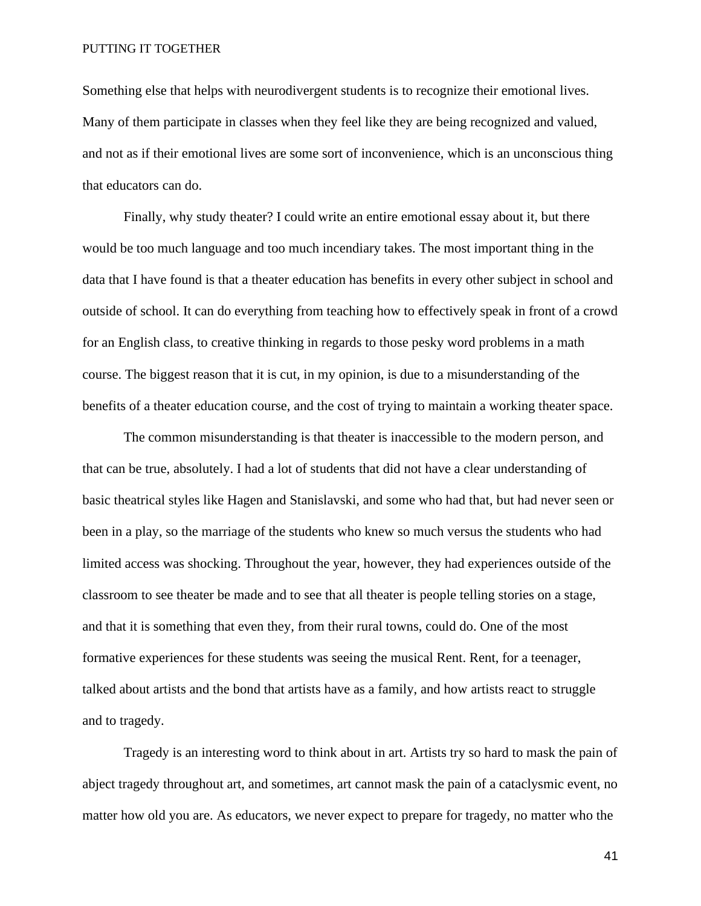Something else that helps with neurodivergent students is to recognize their emotional lives. Many of them participate in classes when they feel like they are being recognized and valued, and not as if their emotional lives are some sort of inconvenience, which is an unconscious thing that educators can do.

Finally, why study theater? I could write an entire emotional essay about it, but there would be too much language and too much incendiary takes. The most important thing in the data that I have found is that a theater education has benefits in every other subject in school and outside of school. It can do everything from teaching how to effectively speak in front of a crowd for an English class, to creative thinking in regards to those pesky word problems in a math course. The biggest reason that it is cut, in my opinion, is due to a misunderstanding of the benefits of a theater education course, and the cost of trying to maintain a working theater space.

The common misunderstanding is that theater is inaccessible to the modern person, and that can be true, absolutely. I had a lot of students that did not have a clear understanding of basic theatrical styles like Hagen and Stanislavski, and some who had that, but had never seen or been in a play, so the marriage of the students who knew so much versus the students who had limited access was shocking. Throughout the year, however, they had experiences outside of the classroom to see theater be made and to see that all theater is people telling stories on a stage, and that it is something that even they, from their rural towns, could do. One of the most formative experiences for these students was seeing the musical Rent. Rent, for a teenager, talked about artists and the bond that artists have as a family, and how artists react to struggle and to tragedy.

Tragedy is an interesting word to think about in art. Artists try so hard to mask the pain of abject tragedy throughout art, and sometimes, art cannot mask the pain of a cataclysmic event, no matter how old you are. As educators, we never expect to prepare for tragedy, no matter who the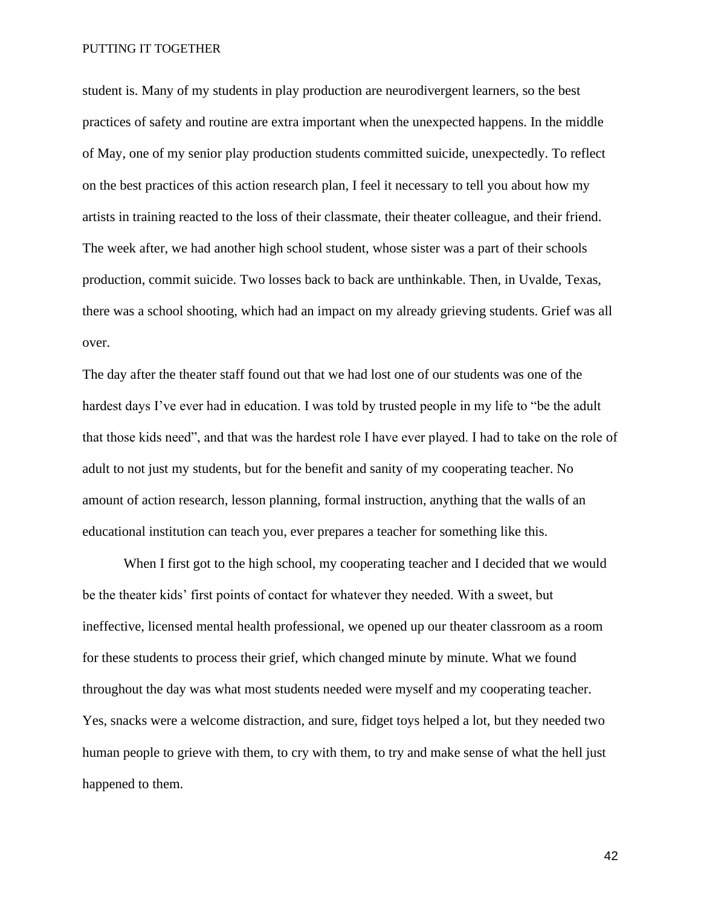student is. Many of my students in play production are neurodivergent learners, so the best practices of safety and routine are extra important when the unexpected happens. In the middle of May, one of my senior play production students committed suicide, unexpectedly. To reflect on the best practices of this action research plan, I feel it necessary to tell you about how my artists in training reacted to the loss of their classmate, their theater colleague, and their friend. The week after, we had another high school student, whose sister was a part of their schools production, commit suicide. Two losses back to back are unthinkable. Then, in Uvalde, Texas, there was a school shooting, which had an impact on my already grieving students. Grief was all over.

The day after the theater staff found out that we had lost one of our students was one of the hardest days I've ever had in education. I was told by trusted people in my life to "be the adult that those kids need", and that was the hardest role I have ever played. I had to take on the role of adult to not just my students, but for the benefit and sanity of my cooperating teacher. No amount of action research, lesson planning, formal instruction, anything that the walls of an educational institution can teach you, ever prepares a teacher for something like this.

When I first got to the high school, my cooperating teacher and I decided that we would be the theater kids' first points of contact for whatever they needed. With a sweet, but ineffective, licensed mental health professional, we opened up our theater classroom as a room for these students to process their grief, which changed minute by minute. What we found throughout the day was what most students needed were myself and my cooperating teacher. Yes, snacks were a welcome distraction, and sure, fidget toys helped a lot, but they needed two human people to grieve with them, to cry with them, to try and make sense of what the hell just happened to them.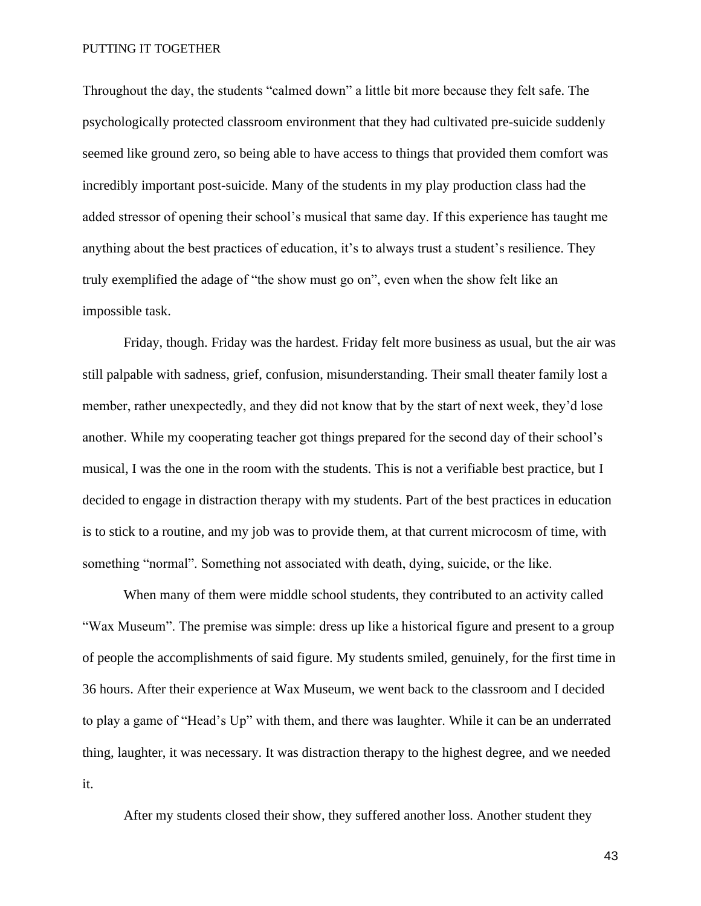Throughout the day, the students "calmed down" a little bit more because they felt safe. The psychologically protected classroom environment that they had cultivated pre-suicide suddenly seemed like ground zero, so being able to have access to things that provided them comfort was incredibly important post-suicide. Many of the students in my play production class had the added stressor of opening their school's musical that same day. If this experience has taught me anything about the best practices of education, it's to always trust a student's resilience. They truly exemplified the adage of "the show must go on", even when the show felt like an impossible task.

Friday, though. Friday was the hardest. Friday felt more business as usual, but the air was still palpable with sadness, grief, confusion, misunderstanding. Their small theater family lost a member, rather unexpectedly, and they did not know that by the start of next week, they'd lose another. While my cooperating teacher got things prepared for the second day of their school's musical, I was the one in the room with the students. This is not a verifiable best practice, but I decided to engage in distraction therapy with my students. Part of the best practices in education is to stick to a routine, and my job was to provide them, at that current microcosm of time, with something "normal". Something not associated with death, dying, suicide, or the like.

When many of them were middle school students, they contributed to an activity called "Wax Museum". The premise was simple: dress up like a historical figure and present to a group of people the accomplishments of said figure. My students smiled, genuinely, for the first time in 36 hours. After their experience at Wax Museum, we went back to the classroom and I decided to play a game of "Head's Up" with them, and there was laughter. While it can be an underrated thing, laughter, it was necessary. It was distraction therapy to the highest degree, and we needed it.

After my students closed their show, they suffered another loss. Another student they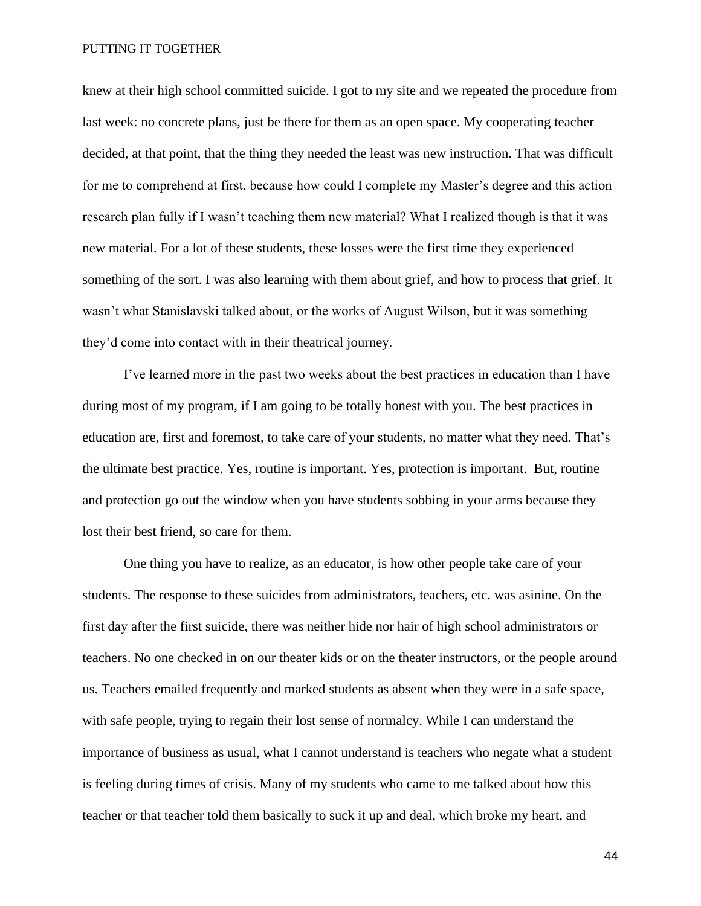knew at their high school committed suicide. I got to my site and we repeated the procedure from last week: no concrete plans, just be there for them as an open space. My cooperating teacher decided, at that point, that the thing they needed the least was new instruction. That was difficult for me to comprehend at first, because how could I complete my Master's degree and this action research plan fully if I wasn't teaching them new material? What I realized though is that it was new material. For a lot of these students, these losses were the first time they experienced something of the sort. I was also learning with them about grief, and how to process that grief. It wasn't what Stanislavski talked about, or the works of August Wilson, but it was something they'd come into contact with in their theatrical journey.

I've learned more in the past two weeks about the best practices in education than I have during most of my program, if I am going to be totally honest with you. The best practices in education are, first and foremost, to take care of your students, no matter what they need. That's the ultimate best practice. Yes, routine is important. Yes, protection is important. But, routine and protection go out the window when you have students sobbing in your arms because they lost their best friend, so care for them.

One thing you have to realize, as an educator, is how other people take care of your students. The response to these suicides from administrators, teachers, etc. was asinine. On the first day after the first suicide, there was neither hide nor hair of high school administrators or teachers. No one checked in on our theater kids or on the theater instructors, or the people around us. Teachers emailed frequently and marked students as absent when they were in a safe space, with safe people, trying to regain their lost sense of normalcy. While I can understand the importance of business as usual, what I cannot understand is teachers who negate what a student is feeling during times of crisis. Many of my students who came to me talked about how this teacher or that teacher told them basically to suck it up and deal, which broke my heart, and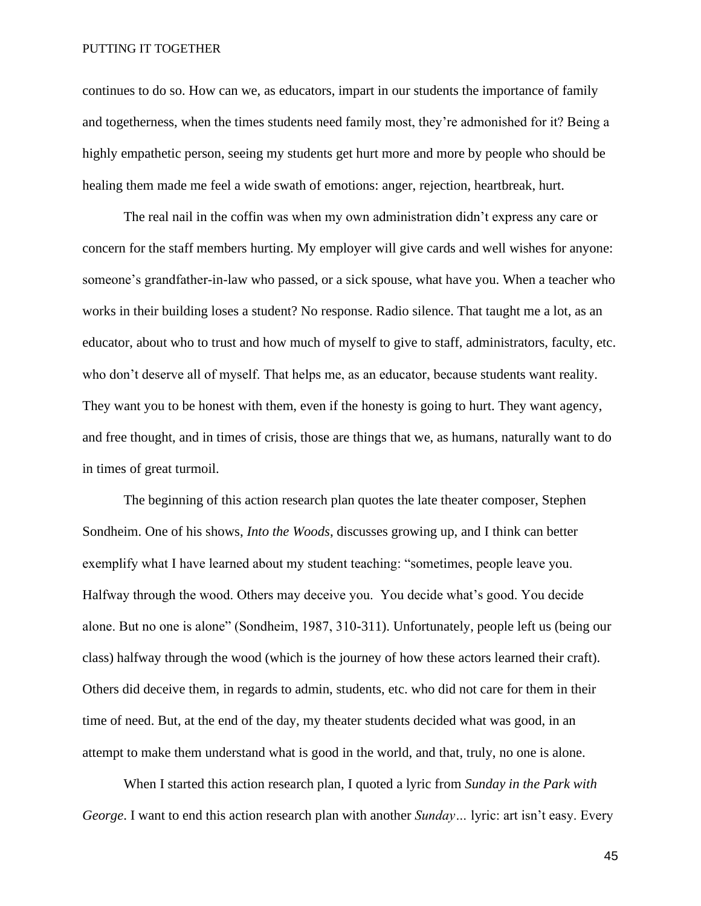continues to do so. How can we, as educators, impart in our students the importance of family and togetherness, when the times students need family most, they're admonished for it? Being a highly empathetic person, seeing my students get hurt more and more by people who should be healing them made me feel a wide swath of emotions: anger, rejection, heartbreak, hurt.

The real nail in the coffin was when my own administration didn't express any care or concern for the staff members hurting. My employer will give cards and well wishes for anyone: someone's grandfather-in-law who passed, or a sick spouse, what have you. When a teacher who works in their building loses a student? No response. Radio silence. That taught me a lot, as an educator, about who to trust and how much of myself to give to staff, administrators, faculty, etc. who don't deserve all of myself. That helps me, as an educator, because students want reality. They want you to be honest with them, even if the honesty is going to hurt. They want agency, and free thought, and in times of crisis, those are things that we, as humans, naturally want to do in times of great turmoil.

The beginning of this action research plan quotes the late theater composer, Stephen Sondheim. One of his shows, *Into the Woods*, discusses growing up, and I think can better exemplify what I have learned about my student teaching: "sometimes, people leave you. Halfway through the wood. Others may deceive you. You decide what's good. You decide alone. But no one is alone" (Sondheim, 1987, 310-311). Unfortunately, people left us (being our class) halfway through the wood (which is the journey of how these actors learned their craft). Others did deceive them, in regards to admin, students, etc. who did not care for them in their time of need. But, at the end of the day, my theater students decided what was good, in an attempt to make them understand what is good in the world, and that, truly, no one is alone.

When I started this action research plan, I quoted a lyric from *Sunday in the Park with George*. I want to end this action research plan with another *Sunday…* lyric: art isn't easy. Every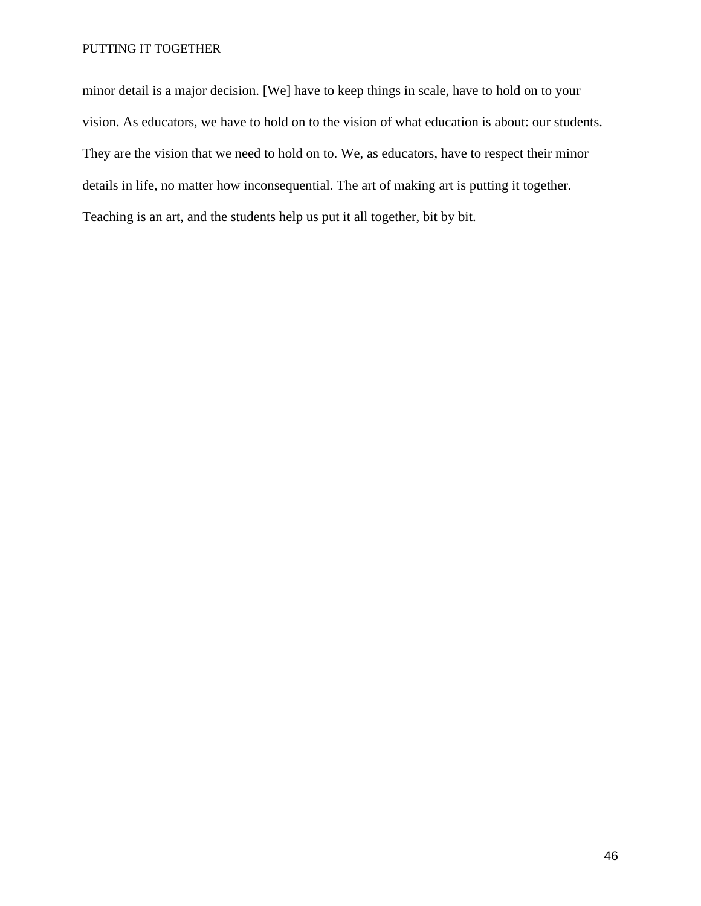minor detail is a major decision. [We] have to keep things in scale, have to hold on to your vision. As educators, we have to hold on to the vision of what education is about: our students. They are the vision that we need to hold on to. We, as educators, have to respect their minor details in life, no matter how inconsequential. The art of making art is putting it together. Teaching is an art, and the students help us put it all together, bit by bit.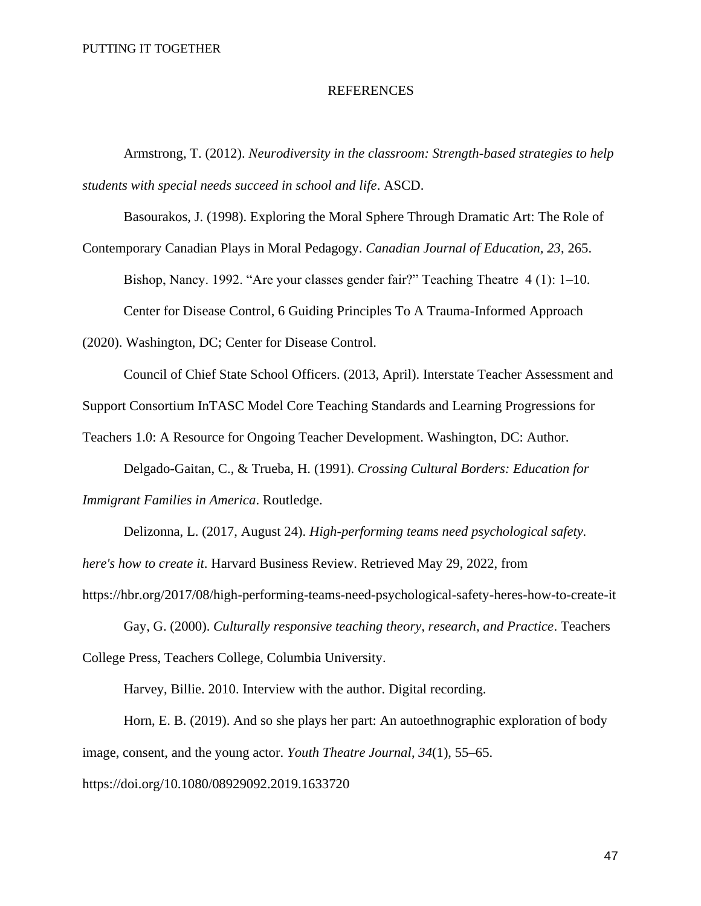#### REFERENCES

Armstrong, T. (2012). *Neurodiversity in the classroom: Strength-based strategies to help students with special needs succeed in school and life*. ASCD.

Basourakos, J. (1998). Exploring the Moral Sphere Through Dramatic Art: The Role of

Contemporary Canadian Plays in Moral Pedagogy. *Canadian Journal of Education, 23*, 265.

Bishop, Nancy. 1992. "Are your classes gender fair?" Teaching Theatre 4 (1): 1–10.

Center for Disease Control, 6 Guiding Principles To A Trauma-Informed Approach

(2020). Washington, DC; Center for Disease Control.

Council of Chief State School Officers. (2013, April). Interstate Teacher Assessment and

Support Consortium InTASC Model Core Teaching Standards and Learning Progressions for

Teachers 1.0: A Resource for Ongoing Teacher Development. Washington, DC: Author.

Delgado-Gaitan, C., & Trueba, H. (1991). *Crossing Cultural Borders: Education for Immigrant Families in America*. Routledge.

Delizonna, L. (2017, August 24). *High-performing teams need psychological safety.* 

*here's how to create it*. Harvard Business Review. Retrieved May 29, 2022, from

https://hbr.org/2017/08/high-performing-teams-need-psychological-safety-heres-how-to-create-it

Gay, G. (2000). *Culturally responsive teaching theory, research, and Practice*. Teachers College Press, Teachers College, Columbia University.

Harvey, Billie. 2010. Interview with the author. Digital recording.

Horn, E. B. (2019). And so she plays her part: An autoethnographic exploration of body image, consent, and the young actor. *Youth Theatre Journal*, *34*(1), 55–65.

https://doi.org/10.1080/08929092.2019.1633720